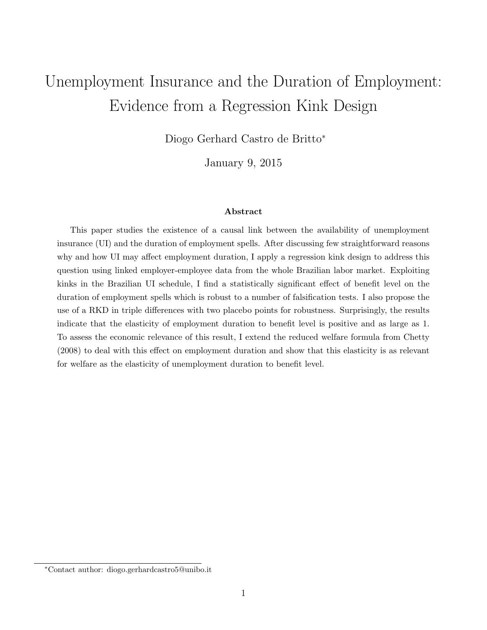# Unemployment Insurance and the Duration of Employment: Evidence from a Regression Kink Design

Diogo Gerhard Castro de Britto<sup>∗</sup>

January 9, 2015

#### Abstract

This paper studies the existence of a causal link between the availability of unemployment insurance (UI) and the duration of employment spells. After discussing few straightforward reasons why and how UI may affect employment duration, I apply a regression kink design to address this question using linked employer-employee data from the whole Brazilian labor market. Exploiting kinks in the Brazilian UI schedule, I find a statistically significant effect of benefit level on the duration of employment spells which is robust to a number of falsification tests. I also propose the use of a RKD in triple differences with two placebo points for robustness. Surprisingly, the results indicate that the elasticity of employment duration to benefit level is positive and as large as 1. To assess the economic relevance of this result, I extend the reduced welfare formula from Chetty (2008) to deal with this effect on employment duration and show that this elasticity is as relevant for welfare as the elasticity of unemployment duration to benefit level.

<sup>∗</sup>Contact author: diogo.gerhardcastro5@unibo.it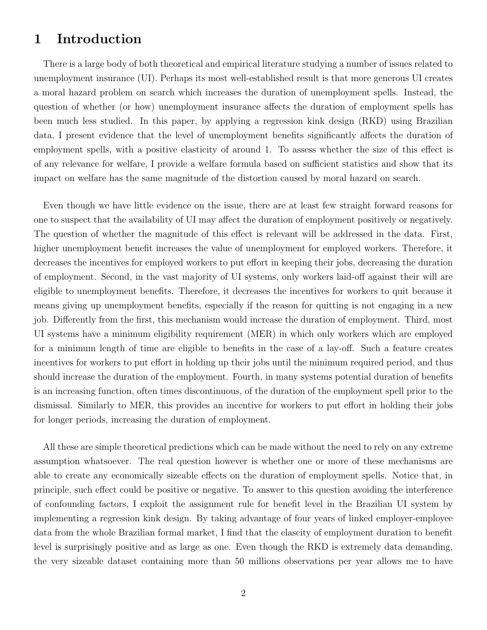### 1 Introduction

There is a large body of both theoretical and empirical literature studying a number of issues related to unemployment insurance (UI). Perhaps its most well-established result is that more generous UI creates a moral hazard problem on search which increases the duration of unemployment spells. Instead, the question of whether (or how) unemployment insurance affects the duration of employment spells has been much less studied. In this paper, by applying a regression kink design (RKD) using Brazilian data, I present evidence that the level of unemployment benefits significantly affects the duration of employment spells, with a positive elasticity of around 1. To assess whether the size of this effect is of any relevance for welfare, I provide a welfare formula based on sufficient statistics and show that its impact on welfare has the same magnitude of the distortion caused by moral hazard on search.

Even though we have little evidence on the issue, there are at least few straight forward reasons for one to suspect that the availability of UI may affect the duration of employment positively or negatively. The question of whether the magnitude of this effect is relevant will be addressed in the data. First, higher unemployment benefit increases the value of unemployment for employed workers. Therefore, it decreases the incentives for employed workers to put effort in keeping their jobs, decreasing the duration of employment. Second, in the vast majority of UI systems, only workers laid-off against their will are eligible to unemployment benefits. Therefore, it decreases the incentives for workers to quit because it means giving up unemployment benefits, especially if the reason for quitting is not engaging in a new job. Differently from the first, this mechanism would increase the duration of employment. Third, most UI systems have a minimum eligibility requirement (MER) in which only workers which are employed for a minimum length of time are eligible to benefits in the case of a lay-off. Such a feature creates incentives for workers to put effort in holding up their jobs until the minimum required period, and thus should increase the duration of the employment. Fourth, in many systems potential duration of benefits is an increasing function, often times discontinuous, of the duration of the employment spell prior to the dismissal. Similarly to MER, this provides an incentive for workers to put effort in holding their jobs for longer periods, increasing the duration of employment.

All these are simple theoretical predictions which can be made without the need to rely on any extreme assumption whatsoever. The real question however is whether one or more of these mechanisms are able to create any economically sizeable effects on the duration of employment spells. Notice that, in principle, such effect could be positive or negative. To answer to this question avoiding the interference of confounding factors, I exploit the assignment rule for benefit level in the Brazilian UI system by implementing a regression kink design. By taking advantage of four years of linked employer-employee data from the whole Brazilian formal market, I find that the elascity of employment duration to benefit level is surprisingly positive and as large as one. Even though the RKD is extremely data demanding, the very sizeable dataset containing more than 50 millions observations per year allows me to have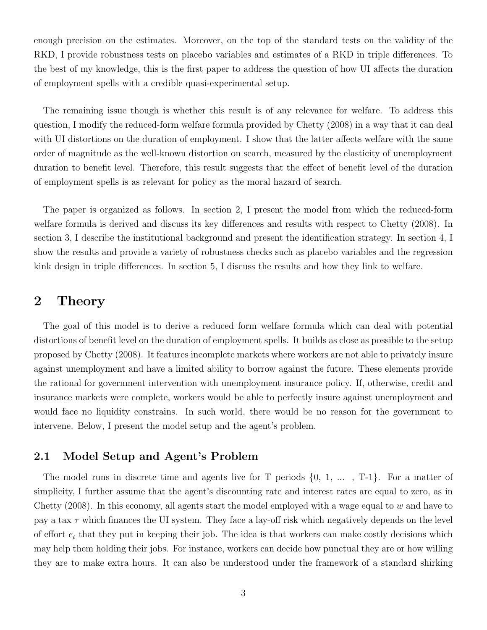enough precision on the estimates. Moreover, on the top of the standard tests on the validity of the RKD, I provide robustness tests on placebo variables and estimates of a RKD in triple differences. To the best of my knowledge, this is the first paper to address the question of how UI affects the duration of employment spells with a credible quasi-experimental setup.

The remaining issue though is whether this result is of any relevance for welfare. To address this question, I modify the reduced-form welfare formula provided by Chetty (2008) in a way that it can deal with UI distortions on the duration of employment. I show that the latter affects welfare with the same order of magnitude as the well-known distortion on search, measured by the elasticity of unemployment duration to benefit level. Therefore, this result suggests that the effect of benefit level of the duration of employment spells is as relevant for policy as the moral hazard of search.

The paper is organized as follows. In section 2, I present the model from which the reduced-form welfare formula is derived and discuss its key differences and results with respect to Chetty (2008). In section 3, I describe the institutional background and present the identification strategy. In section 4, I show the results and provide a variety of robustness checks such as placebo variables and the regression kink design in triple differences. In section 5, I discuss the results and how they link to welfare.

### 2 Theory

The goal of this model is to derive a reduced form welfare formula which can deal with potential distortions of benefit level on the duration of employment spells. It builds as close as possible to the setup proposed by Chetty (2008). It features incomplete markets where workers are not able to privately insure against unemployment and have a limited ability to borrow against the future. These elements provide the rational for government intervention with unemployment insurance policy. If, otherwise, credit and insurance markets were complete, workers would be able to perfectly insure against unemployment and would face no liquidity constrains. In such world, there would be no reason for the government to intervene. Below, I present the model setup and the agent's problem.

#### 2.1 Model Setup and Agent's Problem

The model runs in discrete time and agents live for T periods  $\{0, 1, \ldots, T-1\}$ . For a matter of simplicity, I further assume that the agent's discounting rate and interest rates are equal to zero, as in Chetty (2008). In this economy, all agents start the model employed with a wage equal to w and have to pay a tax  $\tau$  which finances the UI system. They face a lay-off risk which negatively depends on the level of effort  $e_t$  that they put in keeping their job. The idea is that workers can make costly decisions which may help them holding their jobs. For instance, workers can decide how punctual they are or how willing they are to make extra hours. It can also be understood under the framework of a standard shirking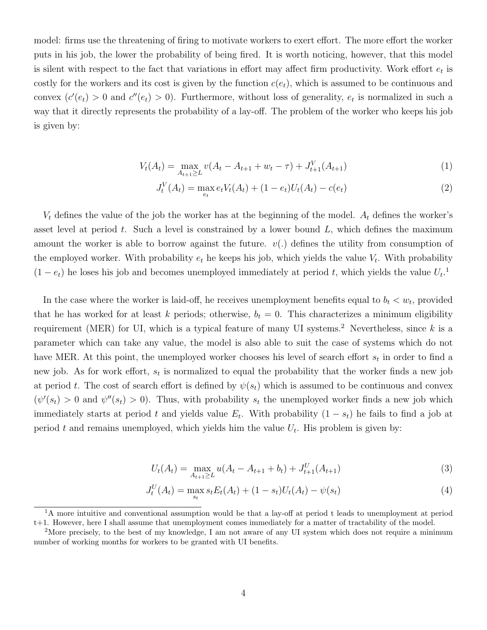model: firms use the threatening of firing to motivate workers to exert effort. The more effort the worker puts in his job, the lower the probability of being fired. It is worth noticing, however, that this model is silent with respect to the fact that variations in effort may affect firm productivity. Work effort  $e_t$  is costly for the workers and its cost is given by the function  $c(e_t)$ , which is assumed to be continuous and convex  $(c'(e_t) > 0$  and  $c''(e_t) > 0)$ . Furthermore, without loss of generality,  $e_t$  is normalized in such a way that it directly represents the probability of a lay-off. The problem of the worker who keeps his job is given by:

$$
V_t(A_t) = \max_{A_{t+1} \ge L} v(A_t - A_{t+1} + w_t - \tau) + J_{t+1}^V(A_{t+1})
$$
\n(1)

$$
J_t^V(A_t) = \max_{e_t} e_t V_t(A_t) + (1 - e_t) U_t(A_t) - c(e_t)
$$
\n(2)

 $V_t$  defines the value of the job the worker has at the beginning of the model.  $A_t$  defines the worker's asset level at period t. Such a level is constrained by a lower bound  $L$ , which defines the maximum amount the worker is able to borrow against the future.  $v(.)$  defines the utility from consumption of the employed worker. With probability  $e_t$  he keeps his job, which yields the value  $V_t$ . With probability  $(1-e_t)$  he loses his job and becomes unemployed immediately at period t, which yields the value  $U_t$ <sup>1</sup>

In the case where the worker is laid-off, he receives unemployment benefits equal to  $b_t < w_t$ , provided that he has worked for at least k periods; otherwise,  $b_t = 0$ . This characterizes a minimum eligibility requirement (MER) for UI, which is a typical feature of many UI systems.<sup>2</sup> Nevertheless, since k is a parameter which can take any value, the model is also able to suit the case of systems which do not have MER. At this point, the unemployed worker chooses his level of search effort  $s_t$  in order to find a new job. As for work effort,  $s_t$  is normalized to equal the probability that the worker finds a new job at period t. The cost of search effort is defined by  $\psi(s_t)$  which is assumed to be continuous and convex  $(\psi'(s_t) > 0$  and  $\psi''(s_t) > 0$ . Thus, with probability  $s_t$  the unemployed worker finds a new job which immediately starts at period t and yields value  $E_t$ . With probability  $(1 - s_t)$  he fails to find a job at period t and remains unemployed, which yields him the value  $U_t$ . His problem is given by:

$$
U_t(A_t) = \max_{A_{t+1} \ge L} u(A_t - A_{t+1} + b_t) + J_{t+1}^U(A_{t+1})
$$
\n(3)

$$
J_t^U(A_t) = \max_{s_t} s_t E_t(A_t) + (1 - s_t) U_t(A_t) - \psi(s_t)
$$
\n(4)

<sup>&</sup>lt;sup>1</sup>A more intuitive and conventional assumption would be that a lay-off at period t leads to unemployment at period t+1. However, here I shall assume that unemployment comes immediately for a matter of tractability of the model.

<sup>&</sup>lt;sup>2</sup>More precisely, to the best of my knowledge, I am not aware of any UI system which does not require a minimum number of working months for workers to be granted with UI benefits.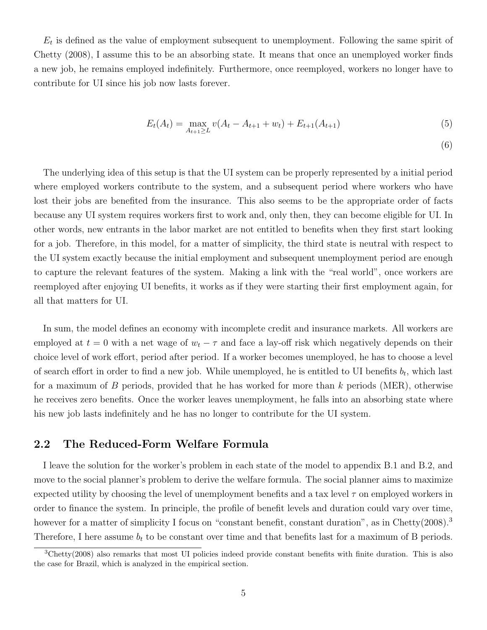$E_t$  is defined as the value of employment subsequent to unemployment. Following the same spirit of Chetty (2008), I assume this to be an absorbing state. It means that once an unemployed worker finds a new job, he remains employed indefinitely. Furthermore, once reemployed, workers no longer have to contribute for UI since his job now lasts forever.

$$
E_t(A_t) = \max_{A_{t+1} \ge L} v(A_t - A_{t+1} + w_t) + E_{t+1}(A_{t+1})
$$
\n(5)

(6)

The underlying idea of this setup is that the UI system can be properly represented by a initial period where employed workers contribute to the system, and a subsequent period where workers who have lost their jobs are benefited from the insurance. This also seems to be the appropriate order of facts because any UI system requires workers first to work and, only then, they can become eligible for UI. In other words, new entrants in the labor market are not entitled to benefits when they first start looking for a job. Therefore, in this model, for a matter of simplicity, the third state is neutral with respect to the UI system exactly because the initial employment and subsequent unemployment period are enough to capture the relevant features of the system. Making a link with the "real world", once workers are reemployed after enjoying UI benefits, it works as if they were starting their first employment again, for all that matters for UI.

In sum, the model defines an economy with incomplete credit and insurance markets. All workers are employed at  $t = 0$  with a net wage of  $w_t - \tau$  and face a lay-off risk which negatively depends on their choice level of work effort, period after period. If a worker becomes unemployed, he has to choose a level of search effort in order to find a new job. While unemployed, he is entitled to UI benefits  $b_t$ , which last for a maximum of B periods, provided that he has worked for more than k periods (MER), otherwise he receives zero benefits. Once the worker leaves unemployment, he falls into an absorbing state where his new job lasts indefinitely and he has no longer to contribute for the UI system.

#### 2.2 The Reduced-Form Welfare Formula

I leave the solution for the worker's problem in each state of the model to appendix B.1 and B.2, and move to the social planner's problem to derive the welfare formula. The social planner aims to maximize expected utility by choosing the level of unemployment benefits and a tax level  $\tau$  on employed workers in order to finance the system. In principle, the profile of benefit levels and duration could vary over time, however for a matter of simplicity I focus on "constant benefit, constant duration", as in Chetty(2008).<sup>3</sup> Therefore, I here assume  $b_t$  to be constant over time and that benefits last for a maximum of B periods.

 ${}^{3}$ Chetty(2008) also remarks that most UI policies indeed provide constant benefits with finite duration. This is also the case for Brazil, which is analyzed in the empirical section.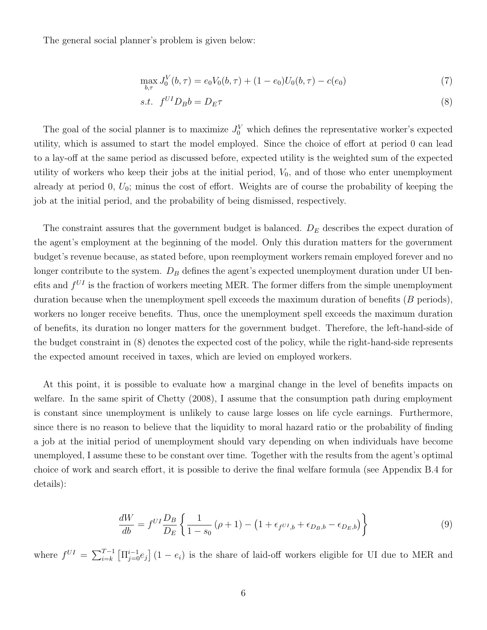The general social planner's problem is given below:

$$
\max_{b,\tau} J_0^V(b,\tau) = e_0 V_0(b,\tau) + (1 - e_0) U_0(b,\tau) - c(e_0)
$$
\n(7)

$$
s.t. \t f^{UI} D_B b = D_E \tau \t\t(8)
$$

The goal of the social planner is to maximize  $J_0^V$  which defines the representative worker's expected utility, which is assumed to start the model employed. Since the choice of effort at period 0 can lead to a lay-off at the same period as discussed before, expected utility is the weighted sum of the expected utility of workers who keep their jobs at the initial period,  $V_0$ , and of those who enter unemployment already at period 0,  $U_0$ ; minus the cost of effort. Weights are of course the probability of keeping the job at the initial period, and the probability of being dismissed, respectively.

The constraint assures that the government budget is balanced.  $D<sub>E</sub>$  describes the expect duration of the agent's employment at the beginning of the model. Only this duration matters for the government budget's revenue because, as stated before, upon reemployment workers remain employed forever and no longer contribute to the system.  $D_B$  defines the agent's expected unemployment duration under UI benefits and  $f^{UI}$  is the fraction of workers meeting MER. The former differs from the simple unemployment duration because when the unemployment spell exceeds the maximum duration of benefits  $(B \text{ periods})$ , workers no longer receive benefits. Thus, once the unemployment spell exceeds the maximum duration of benefits, its duration no longer matters for the government budget. Therefore, the left-hand-side of the budget constraint in (8) denotes the expected cost of the policy, while the right-hand-side represents the expected amount received in taxes, which are levied on employed workers.

At this point, it is possible to evaluate how a marginal change in the level of benefits impacts on welfare. In the same spirit of Chetty (2008), I assume that the consumption path during employment is constant since unemployment is unlikely to cause large losses on life cycle earnings. Furthermore, since there is no reason to believe that the liquidity to moral hazard ratio or the probability of finding a job at the initial period of unemployment should vary depending on when individuals have become unemployed, I assume these to be constant over time. Together with the results from the agent's optimal choice of work and search effort, it is possible to derive the final welfare formula (see Appendix B.4 for details):

$$
\frac{dW}{db} = f^{UI} \frac{D_B}{D_E} \left\{ \frac{1}{1 - s_0} \left( \rho + 1 \right) - \left( 1 + \epsilon_f v_{I,b} + \epsilon_{D_B, b} - \epsilon_{D_E, b} \right) \right\} \tag{9}
$$

where  $f^{UI} = \sum_{i=k}^{T-1} \left[ \prod_{j=0}^{i-1} e_j \right] (1 - e_i)$  is the share of laid-off workers eligible for UI due to MER and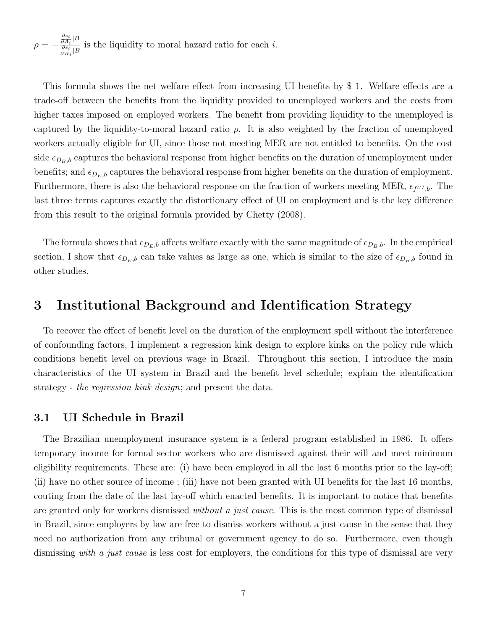$$
\rho = -\frac{\frac{\partial s_i}{\partial A_i}|B}{\frac{\partial s_i}{\partial W_i}|B}
$$
 is the liquidity to moral hazard ratio for each *i*.

This formula shows the net welfare effect from increasing UI benefits by \$ 1. Welfare effects are a trade-off between the benefits from the liquidity provided to unemployed workers and the costs from higher taxes imposed on employed workers. The benefit from providing liquidity to the unemployed is captured by the liquidity-to-moral hazard ratio  $\rho$ . It is also weighted by the fraction of unemployed workers actually eligible for UI, since those not meeting MER are not entitled to benefits. On the cost side  $\epsilon_{D_B,b}$  captures the behavioral response from higher benefits on the duration of unemployment under benefits; and  $\epsilon_{D_E,b}$  captures the behavioral response from higher benefits on the duration of employment. Furthermore, there is also the behavioral response on the fraction of workers meeting MER,  $\epsilon_f v_{IJ}$ . The last three terms captures exactly the distortionary effect of UI on employment and is the key difference from this result to the original formula provided by Chetty (2008).

The formula shows that  $\epsilon_{D_E,b}$  affects welfare exactly with the same magnitude of  $\epsilon_{D_B,b}$ . In the empirical section, I show that  $\epsilon_{D_E,b}$  can take values as large as one, which is similar to the size of  $\epsilon_{D_B,b}$  found in other studies.

### 3 Institutional Background and Identification Strategy

To recover the effect of benefit level on the duration of the employment spell without the interference of confounding factors, I implement a regression kink design to explore kinks on the policy rule which conditions benefit level on previous wage in Brazil. Throughout this section, I introduce the main characteristics of the UI system in Brazil and the benefit level schedule; explain the identification strategy - the regression kink design; and present the data.

#### 3.1 UI Schedule in Brazil

The Brazilian unemployment insurance system is a federal program established in 1986. It offers temporary income for formal sector workers who are dismissed against their will and meet minimum eligibility requirements. These are: (i) have been employed in all the last 6 months prior to the lay-off; (ii) have no other source of income ; (iii) have not been granted with UI benefits for the last 16 months, couting from the date of the last lay-off which enacted benefits. It is important to notice that benefits are granted only for workers dismissed *without a just cause*. This is the most common type of dismissal in Brazil, since employers by law are free to dismiss workers without a just cause in the sense that they need no authorization from any tribunal or government agency to do so. Furthermore, even though dismissing with a just cause is less cost for employers, the conditions for this type of dismissal are very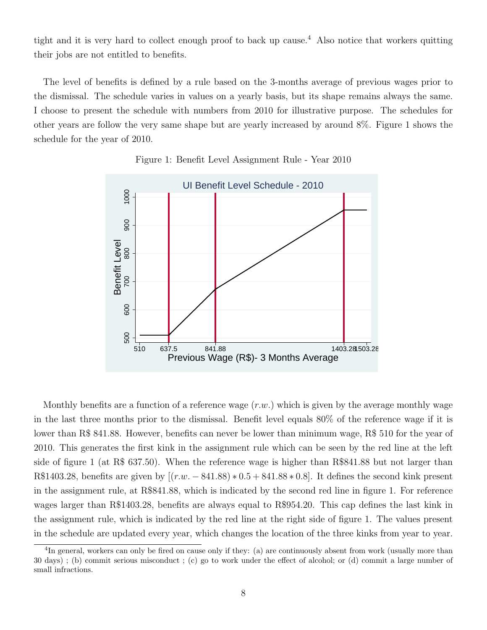tight and it is very hard to collect enough proof to back up cause.<sup>4</sup> Also notice that workers quitting their jobs are not entitled to benefits.

The level of benefits is defined by a rule based on the 3-months average of previous wages prior to the dismissal. The schedule varies in values on a yearly basis, but its shape remains always the same. I choose to present the schedule with numbers from 2010 for illustrative purpose. The schedules for other years are follow the very same shape but are yearly increased by around 8%. Figure 1 shows the schedule for the year of 2010.



Figure 1: Benefit Level Assignment Rule - Year 2010

Monthly benefits are a function of a reference wage  $(r.w.)$  which is given by the average monthly wage in the last three months prior to the dismissal. Benefit level equals 80% of the reference wage if it is lower than R\$ 841.88. However, benefits can never be lower than minimum wage, R\$ 510 for the year of 2010. This generates the first kink in the assignment rule which can be seen by the red line at the left side of figure 1 (at R\$ 637.50). When the reference wage is higher than R\$841.88 but not larger than R\$1403.28, benefits are given by  $[(r.w. - 841.88) * 0.5 + 841.88 * 0.8]$ . It defines the second kink present in the assignment rule, at R\$841.88, which is indicated by the second red line in figure 1. For reference wages larger than R\$1403.28, benefits are always equal to R\$954.20. This cap defines the last kink in the assignment rule, which is indicated by the red line at the right side of figure 1. The values present in the schedule are updated every year, which changes the location of the three kinks from year to year.

<sup>&</sup>lt;sup>4</sup>In general, workers can only be fired on cause only if they: (a) are continuously absent from work (usually more than 30 days) ; (b) commit serious misconduct ; (c) go to work under the effect of alcohol; or (d) commit a large number of small infractions.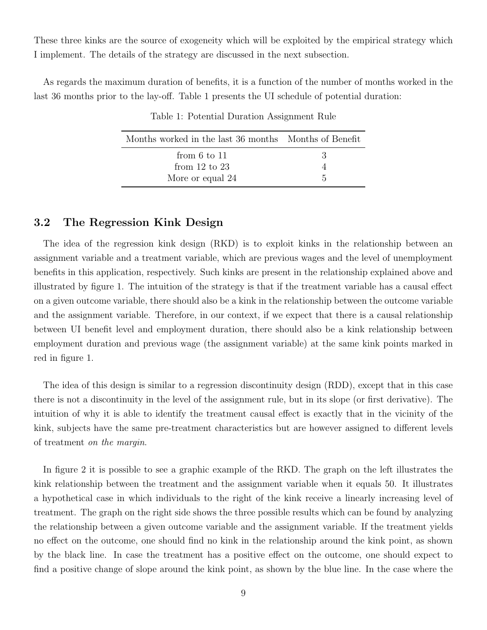These three kinks are the source of exogeneity which will be exploited by the empirical strategy which I implement. The details of the strategy are discussed in the next subsection.

As regards the maximum duration of benefits, it is a function of the number of months worked in the last 36 months prior to the lay-off. Table 1 presents the UI schedule of potential duration:

| Months worked in the last 36 months Months of Benefit |    |
|-------------------------------------------------------|----|
| from $6$ to $11$                                      | -3 |
| from $12$ to $23$                                     |    |
| More or equal 24                                      | h. |

Table 1: Potential Duration Assignment Rule

#### 3.2 The Regression Kink Design

The idea of the regression kink design (RKD) is to exploit kinks in the relationship between an assignment variable and a treatment variable, which are previous wages and the level of unemployment benefits in this application, respectively. Such kinks are present in the relationship explained above and illustrated by figure 1. The intuition of the strategy is that if the treatment variable has a causal effect on a given outcome variable, there should also be a kink in the relationship between the outcome variable and the assignment variable. Therefore, in our context, if we expect that there is a causal relationship between UI benefit level and employment duration, there should also be a kink relationship between employment duration and previous wage (the assignment variable) at the same kink points marked in red in figure 1.

The idea of this design is similar to a regression discontinuity design (RDD), except that in this case there is not a discontinuity in the level of the assignment rule, but in its slope (or first derivative). The intuition of why it is able to identify the treatment causal effect is exactly that in the vicinity of the kink, subjects have the same pre-treatment characteristics but are however assigned to different levels of treatment on the margin.

In figure 2 it is possible to see a graphic example of the RKD. The graph on the left illustrates the kink relationship between the treatment and the assignment variable when it equals 50. It illustrates a hypothetical case in which individuals to the right of the kink receive a linearly increasing level of treatment. The graph on the right side shows the three possible results which can be found by analyzing the relationship between a given outcome variable and the assignment variable. If the treatment yields no effect on the outcome, one should find no kink in the relationship around the kink point, as shown by the black line. In case the treatment has a positive effect on the outcome, one should expect to find a positive change of slope around the kink point, as shown by the blue line. In the case where the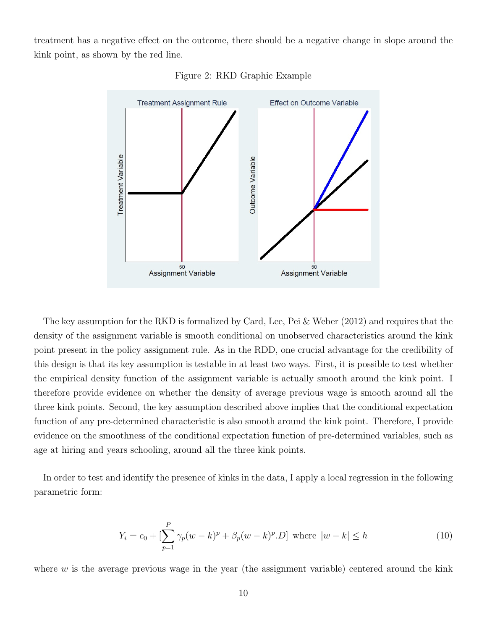treatment has a negative effect on the outcome, there should be a negative change in slope around the kink point, as shown by the red line.



Figure 2: RKD Graphic Example

The key assumption for the RKD is formalized by Card, Lee, Pei & Weber (2012) and requires that the density of the assignment variable is smooth conditional on unobserved characteristics around the kink point present in the policy assignment rule. As in the RDD, one crucial advantage for the credibility of this design is that its key assumption is testable in at least two ways. First, it is possible to test whether the empirical density function of the assignment variable is actually smooth around the kink point. I therefore provide evidence on whether the density of average previous wage is smooth around all the three kink points. Second, the key assumption described above implies that the conditional expectation function of any pre-determined characteristic is also smooth around the kink point. Therefore, I provide evidence on the smoothness of the conditional expectation function of pre-determined variables, such as age at hiring and years schooling, around all the three kink points.

In order to test and identify the presence of kinks in the data, I apply a local regression in the following parametric form:

$$
Y_i = c_0 + \left[\sum_{p=1}^P \gamma_p (w - k)^p + \beta_p (w - k)^p \cdot D\right] \text{ where } |w - k| \le h \tag{10}
$$

where  $w$  is the average previous wage in the year (the assignment variable) centered around the kink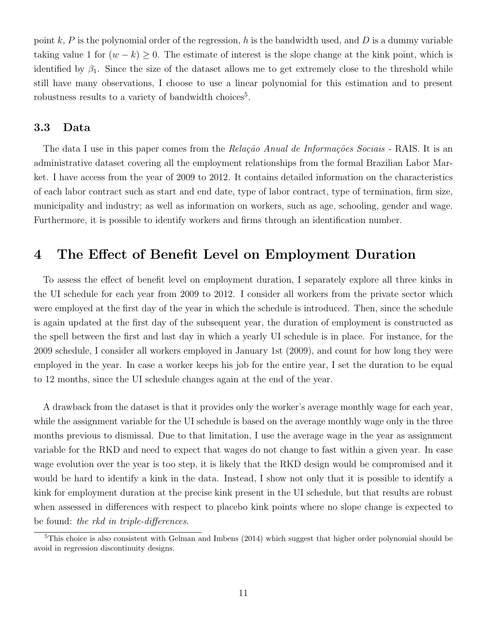point k, P is the polynomial order of the regression, h is the bandwidth used, and D is a dummy variable taking value 1 for  $(w - k) \geq 0$ . The estimate of interest is the slope change at the kink point, which is identified by  $\beta_1$ . Since the size of the dataset allows me to get extremely close to the threshold while still have many observations, I choose to use a linear polynomial for this estimation and to present robustness results to a variety of bandwidth choices<sup>5</sup>.

#### 3.3 Data

The data I use in this paper comes from the Relação Anual de Informações Sociais - RAIS. It is an administrative dataset covering all the employment relationships from the formal Brazilian Labor Market. I have access from the year of 2009 to 2012. It contains detailed information on the characteristics of each labor contract such as start and end date, type of labor contract, type of termination, firm size, municipality and industry; as well as information on workers, such as age, schooling, gender and wage. Furthermore, it is possible to identify workers and firms through an identification number.

### 4 The Effect of Benefit Level on Employment Duration

To assess the effect of benefit level on employment duration, I separately explore all three kinks in the UI schedule for each year from 2009 to 2012. I consider all workers from the private sector which were employed at the first day of the year in which the schedule is introduced. Then, since the schedule is again updated at the first day of the subsequent year, the duration of employment is constructed as the spell between the first and last day in which a yearly UI schedule is in place. For instance, for the 2009 schedule, I consider all workers employed in January 1st (2009), and count for how long they were employed in the year. In case a worker keeps his job for the entire year, I set the duration to be equal to 12 months, since the UI schedule changes again at the end of the year.

A drawback from the dataset is that it provides only the worker's average monthly wage for each year, while the assignment variable for the UI schedule is based on the average monthly wage only in the three months previous to dismissal. Due to that limitation, I use the average wage in the year as assignment variable for the RKD and need to expect that wages do not change to fast within a given year. In case wage evolution over the year is too step, it is likely that the RKD design would be compromised and it would be hard to identify a kink in the data. Instead, I show not only that it is possible to identify a kink for employment duration at the precise kink present in the UI schedule, but that results are robust when assessed in differences with respect to placebo kink points where no slope change is expected to be found: the rkd in triple-differences.

<sup>&</sup>lt;sup>5</sup>This choice is also consistent with Gelman and Imbens (2014) which suggest that higher order polynomial should be avoid in regression discontinuity designs.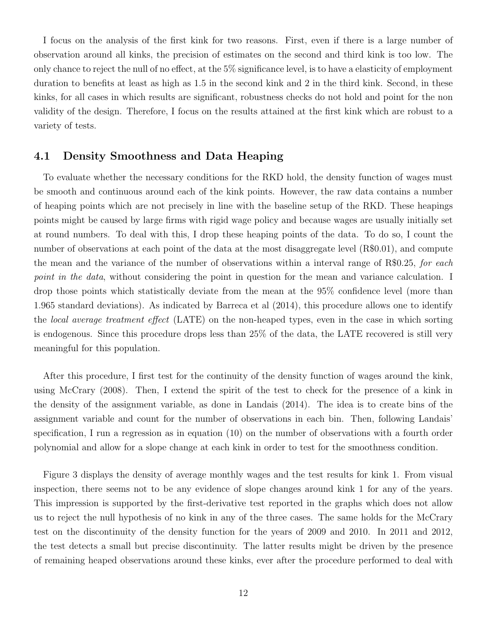I focus on the analysis of the first kink for two reasons. First, even if there is a large number of observation around all kinks, the precision of estimates on the second and third kink is too low. The only chance to reject the null of no effect, at the 5% significance level, is to have a elasticity of employment duration to benefits at least as high as 1.5 in the second kink and 2 in the third kink. Second, in these kinks, for all cases in which results are significant, robustness checks do not hold and point for the non validity of the design. Therefore, I focus on the results attained at the first kink which are robust to a variety of tests.

#### 4.1 Density Smoothness and Data Heaping

To evaluate whether the necessary conditions for the RKD hold, the density function of wages must be smooth and continuous around each of the kink points. However, the raw data contains a number of heaping points which are not precisely in line with the baseline setup of the RKD. These heapings points might be caused by large firms with rigid wage policy and because wages are usually initially set at round numbers. To deal with this, I drop these heaping points of the data. To do so, I count the number of observations at each point of the data at the most disaggregate level (R\$0.01), and compute the mean and the variance of the number of observations within a interval range of  $R$0.25$ , for each point in the data, without considering the point in question for the mean and variance calculation. I drop those points which statistically deviate from the mean at the 95% confidence level (more than 1.965 standard deviations). As indicated by Barreca et al (2014), this procedure allows one to identify the local average treatment effect (LATE) on the non-heaped types, even in the case in which sorting is endogenous. Since this procedure drops less than 25% of the data, the LATE recovered is still very meaningful for this population.

After this procedure, I first test for the continuity of the density function of wages around the kink, using McCrary (2008). Then, I extend the spirit of the test to check for the presence of a kink in the density of the assignment variable, as done in Landais (2014). The idea is to create bins of the assignment variable and count for the number of observations in each bin. Then, following Landais' specification, I run a regression as in equation (10) on the number of observations with a fourth order polynomial and allow for a slope change at each kink in order to test for the smoothness condition.

Figure 3 displays the density of average monthly wages and the test results for kink 1. From visual inspection, there seems not to be any evidence of slope changes around kink 1 for any of the years. This impression is supported by the first-derivative test reported in the graphs which does not allow us to reject the null hypothesis of no kink in any of the three cases. The same holds for the McCrary test on the discontinuity of the density function for the years of 2009 and 2010. In 2011 and 2012, the test detects a small but precise discontinuity. The latter results might be driven by the presence of remaining heaped observations around these kinks, ever after the procedure performed to deal with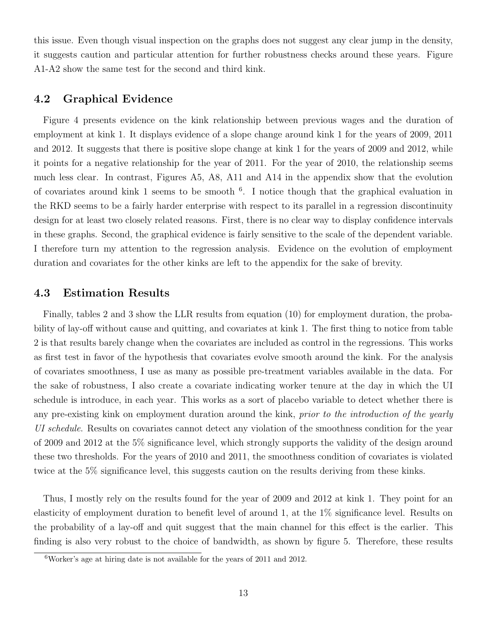this issue. Even though visual inspection on the graphs does not suggest any clear jump in the density, it suggests caution and particular attention for further robustness checks around these years. Figure A1-A2 show the same test for the second and third kink.

#### 4.2 Graphical Evidence

Figure 4 presents evidence on the kink relationship between previous wages and the duration of employment at kink 1. It displays evidence of a slope change around kink 1 for the years of 2009, 2011 and 2012. It suggests that there is positive slope change at kink 1 for the years of 2009 and 2012, while it points for a negative relationship for the year of 2011. For the year of 2010, the relationship seems much less clear. In contrast, Figures A5, A8, A11 and A14 in the appendix show that the evolution of covariates around kink 1 seems to be smooth <sup>6</sup>. I notice though that the graphical evaluation in the RKD seems to be a fairly harder enterprise with respect to its parallel in a regression discontinuity design for at least two closely related reasons. First, there is no clear way to display confidence intervals in these graphs. Second, the graphical evidence is fairly sensitive to the scale of the dependent variable. I therefore turn my attention to the regression analysis. Evidence on the evolution of employment duration and covariates for the other kinks are left to the appendix for the sake of brevity.

#### 4.3 Estimation Results

Finally, tables 2 and 3 show the LLR results from equation (10) for employment duration, the probability of lay-off without cause and quitting, and covariates at kink 1. The first thing to notice from table 2 is that results barely change when the covariates are included as control in the regressions. This works as first test in favor of the hypothesis that covariates evolve smooth around the kink. For the analysis of covariates smoothness, I use as many as possible pre-treatment variables available in the data. For the sake of robustness, I also create a covariate indicating worker tenure at the day in which the UI schedule is introduce, in each year. This works as a sort of placebo variable to detect whether there is any pre-existing kink on employment duration around the kink, prior to the introduction of the yearly UI schedule. Results on covariates cannot detect any violation of the smoothness condition for the year of 2009 and 2012 at the 5% significance level, which strongly supports the validity of the design around these two thresholds. For the years of 2010 and 2011, the smoothness condition of covariates is violated twice at the 5% significance level, this suggests caution on the results deriving from these kinks.

Thus, I mostly rely on the results found for the year of 2009 and 2012 at kink 1. They point for an elasticity of employment duration to benefit level of around 1, at the 1% significance level. Results on the probability of a lay-off and quit suggest that the main channel for this effect is the earlier. This finding is also very robust to the choice of bandwidth, as shown by figure 5. Therefore, these results

 $6$ Worker's age at hiring date is not available for the years of 2011 and 2012.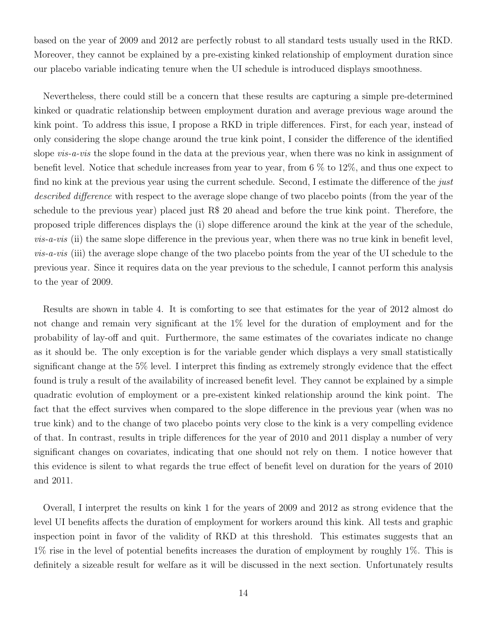based on the year of 2009 and 2012 are perfectly robust to all standard tests usually used in the RKD. Moreover, they cannot be explained by a pre-existing kinked relationship of employment duration since our placebo variable indicating tenure when the UI schedule is introduced displays smoothness.

Nevertheless, there could still be a concern that these results are capturing a simple pre-determined kinked or quadratic relationship between employment duration and average previous wage around the kink point. To address this issue, I propose a RKD in triple differences. First, for each year, instead of only considering the slope change around the true kink point, I consider the difference of the identified slope *vis-a-vis* the slope found in the data at the previous year, when there was no kink in assignment of benefit level. Notice that schedule increases from year to year, from 6 % to 12%, and thus one expect to find no kink at the previous year using the current schedule. Second, I estimate the difference of the just described difference with respect to the average slope change of two placebo points (from the year of the schedule to the previous year) placed just R\$ 20 ahead and before the true kink point. Therefore, the proposed triple differences displays the (i) slope difference around the kink at the year of the schedule,  $vis-a-vis$  (ii) the same slope difference in the previous year, when there was no true kink in benefit level, vis-a-vis (iii) the average slope change of the two placebo points from the year of the UI schedule to the previous year. Since it requires data on the year previous to the schedule, I cannot perform this analysis to the year of 2009.

Results are shown in table 4. It is comforting to see that estimates for the year of 2012 almost do not change and remain very significant at the 1% level for the duration of employment and for the probability of lay-off and quit. Furthermore, the same estimates of the covariates indicate no change as it should be. The only exception is for the variable gender which displays a very small statistically significant change at the 5% level. I interpret this finding as extremely strongly evidence that the effect found is truly a result of the availability of increased benefit level. They cannot be explained by a simple quadratic evolution of employment or a pre-existent kinked relationship around the kink point. The fact that the effect survives when compared to the slope difference in the previous year (when was no true kink) and to the change of two placebo points very close to the kink is a very compelling evidence of that. In contrast, results in triple differences for the year of 2010 and 2011 display a number of very significant changes on covariates, indicating that one should not rely on them. I notice however that this evidence is silent to what regards the true effect of benefit level on duration for the years of 2010 and 2011.

Overall, I interpret the results on kink 1 for the years of 2009 and 2012 as strong evidence that the level UI benefits affects the duration of employment for workers around this kink. All tests and graphic inspection point in favor of the validity of RKD at this threshold. This estimates suggests that an 1% rise in the level of potential benefits increases the duration of employment by roughly 1%. This is definitely a sizeable result for welfare as it will be discussed in the next section. Unfortunately results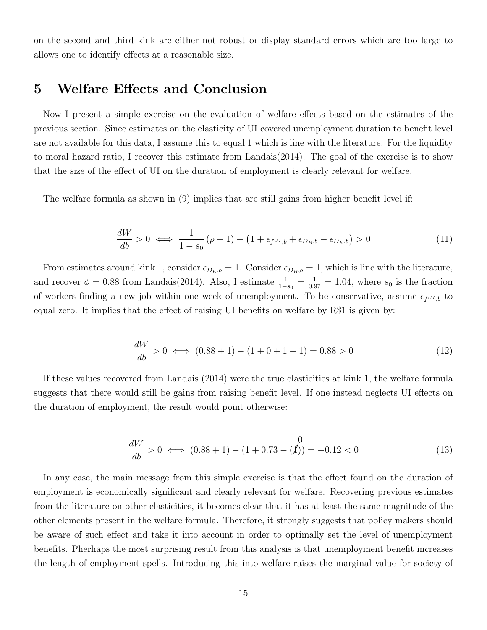on the second and third kink are either not robust or display standard errors which are too large to allows one to identify effects at a reasonable size.

### 5 Welfare Effects and Conclusion

Now I present a simple exercise on the evaluation of welfare effects based on the estimates of the previous section. Since estimates on the elasticity of UI covered unemployment duration to benefit level are not available for this data, I assume this to equal 1 which is line with the literature. For the liquidity to moral hazard ratio, I recover this estimate from Landais(2014). The goal of the exercise is to show that the size of the effect of UI on the duration of employment is clearly relevant for welfare.

The welfare formula as shown in (9) implies that are still gains from higher benefit level if:

$$
\frac{dW}{db} > 0 \iff \frac{1}{1 - s_0} \left( \rho + 1 \right) - \left( 1 + \epsilon_f v_{I,b} + \epsilon_{D_B, b} - \epsilon_{D_E, b} \right) > 0 \tag{11}
$$

From estimates around kink 1, consider  $\epsilon_{D_E,b} = 1$ . Consider  $\epsilon_{D_B,b} = 1$ , which is line with the literature, and recover  $\phi = 0.88$  from Landais(2014). Also, I estimate  $\frac{1}{1-s_0} = \frac{1}{0.97} = 1.04$ , where  $s_0$  is the fraction of workers finding a new job within one week of unemployment. To be conservative, assume  $\epsilon_{f^{UI},b}$  to equal zero. It implies that the effect of raising UI benefits on welfare by R\$1 is given by:

$$
\frac{dW}{db} > 0 \iff (0.88 + 1) - (1 + 0 + 1 - 1) = 0.88 > 0 \tag{12}
$$

If these values recovered from Landais (2014) were the true elasticities at kink 1, the welfare formula suggests that there would still be gains from raising benefit level. If one instead neglects UI effects on the duration of employment, the result would point otherwise:

$$
\frac{dW}{db} > 0 \iff (0.88 + 1) - (1 + 0.73 - \mathcal{J})) = -0.12 < 0 \tag{13}
$$

In any case, the main message from this simple exercise is that the effect found on the duration of employment is economically significant and clearly relevant for welfare. Recovering previous estimates from the literature on other elasticities, it becomes clear that it has at least the same magnitude of the other elements present in the welfare formula. Therefore, it strongly suggests that policy makers should be aware of such effect and take it into account in order to optimally set the level of unemployment benefits. Pherhaps the most surprising result from this analysis is that unemployment benefit increases the length of employment spells. Introducing this into welfare raises the marginal value for society of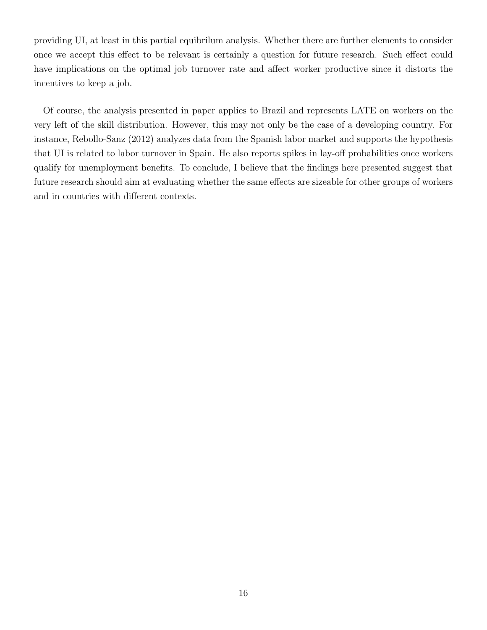providing UI, at least in this partial equibrilum analysis. Whether there are further elements to consider once we accept this effect to be relevant is certainly a question for future research. Such effect could have implications on the optimal job turnover rate and affect worker productive since it distorts the incentives to keep a job.

Of course, the analysis presented in paper applies to Brazil and represents LATE on workers on the very left of the skill distribution. However, this may not only be the case of a developing country. For instance, Rebollo-Sanz (2012) analyzes data from the Spanish labor market and supports the hypothesis that UI is related to labor turnover in Spain. He also reports spikes in lay-off probabilities once workers qualify for unemployment benefits. To conclude, I believe that the findings here presented suggest that future research should aim at evaluating whether the same effects are sizeable for other groups of workers and in countries with different contexts.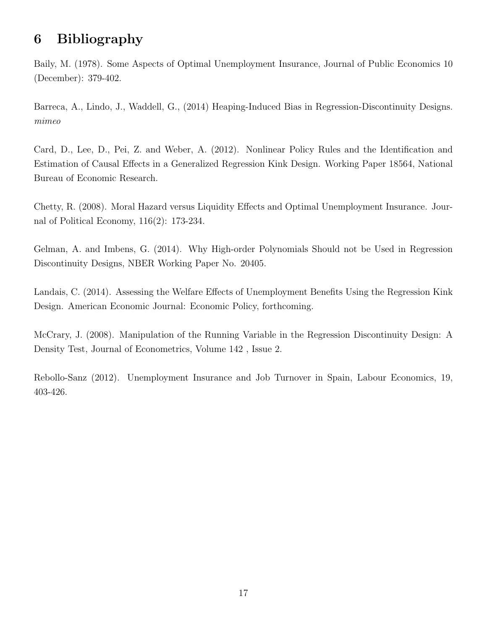# 6 Bibliography

Baily, M. (1978). Some Aspects of Optimal Unemployment Insurance, Journal of Public Economics 10 (December): 379-402.

Barreca, A., Lindo, J., Waddell, G., (2014) Heaping-Induced Bias in Regression-Discontinuity Designs. mimeo

Card, D., Lee, D., Pei, Z. and Weber, A. (2012). Nonlinear Policy Rules and the Identification and Estimation of Causal Effects in a Generalized Regression Kink Design. Working Paper 18564, National Bureau of Economic Research.

Chetty, R. (2008). Moral Hazard versus Liquidity Effects and Optimal Unemployment Insurance. Journal of Political Economy, 116(2): 173-234.

Gelman, A. and Imbens, G. (2014). Why High-order Polynomials Should not be Used in Regression Discontinuity Designs, NBER Working Paper No. 20405.

Landais, C. (2014). Assessing the Welfare Effects of Unemployment Benefits Using the Regression Kink Design. American Economic Journal: Economic Policy, forthcoming.

McCrary, J. (2008). Manipulation of the Running Variable in the Regression Discontinuity Design: A Density Test, Journal of Econometrics, Volume 142 , Issue 2.

Rebollo-Sanz (2012). Unemployment Insurance and Job Turnover in Spain, Labour Economics, 19, 403-426.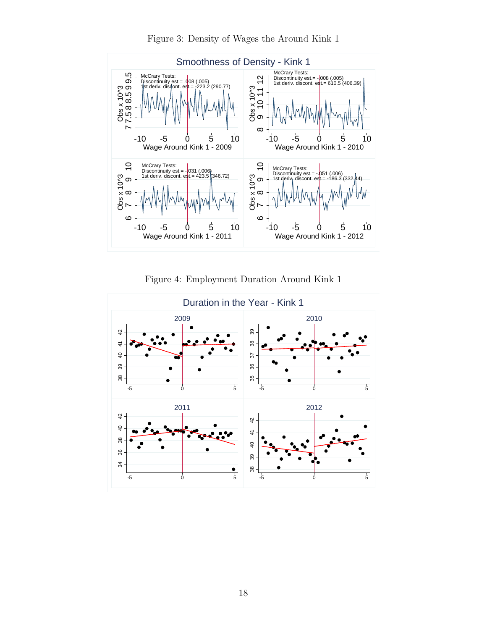

Figure 3: Density of Wages the Around Kink 1

Figure 4: Employment Duration Around Kink 1

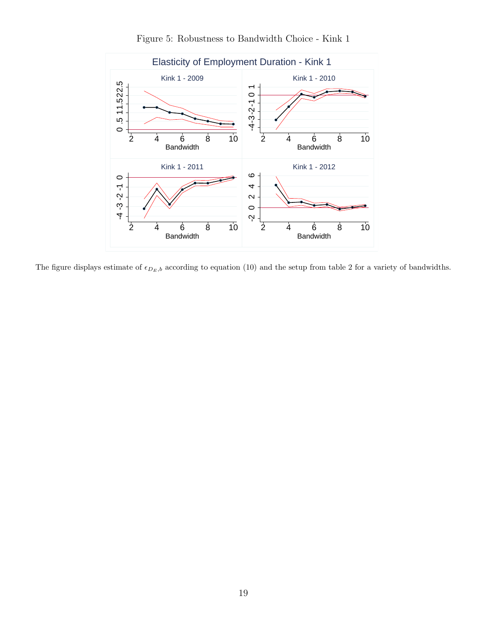

Figure 5: Robustness to Bandwidth Choice - Kink 1

The figure displays estimate of  $\epsilon_{D_E,b}$  according to equation (10) and the setup from table 2 for a variety of bandwidths.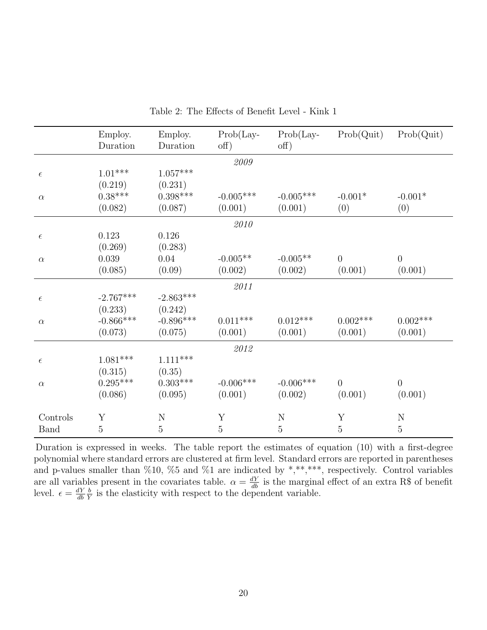|             | Employ.<br>Duration | Employ.<br>Duration | $Prob(Lay-$<br>$\text{off}$ ) | $Prob(Lay -$<br>off) | Prob(Quit)     | Prob(Quit)     |
|-------------|---------------------|---------------------|-------------------------------|----------------------|----------------|----------------|
|             |                     |                     | 2009                          |                      |                |                |
| $\epsilon$  | $1.01^{***}\,$      | $1.057^{***}\;$     |                               |                      |                |                |
|             | (0.219)             | (0.231)             |                               |                      |                |                |
| $\alpha$    | $0.38***$           | $0.398***$          | $-0.005***$                   | $-0.005***$          | $-0.001*$      | $-0.001*$      |
|             | (0.082)             | (0.087)             | (0.001)                       | (0.001)              | (0)            | (0)            |
|             |                     |                     | 2010                          |                      |                |                |
| $\epsilon$  | 0.123               | 0.126               |                               |                      |                |                |
|             | (0.269)             | (0.283)             |                               |                      |                |                |
| $\alpha$    | $0.039\,$           | 0.04                | $-0.005**$                    | $-0.005**$           | $\overline{0}$ | $\overline{0}$ |
|             | (0.085)             | (0.09)              | (0.002)                       | (0.002)              | (0.001)        | (0.001)        |
|             |                     |                     | 2011                          |                      |                |                |
| $\epsilon$  | $-2.767***$         | $-2.863***$         |                               |                      |                |                |
|             | (0.233)             | (0.242)             |                               |                      |                |                |
| $\alpha$    | $-0.866***$         | $-0.896***$         | $0.011***$                    | $0.012***$           | $0.002***$     | $0.002***$     |
|             | (0.073)             | (0.075)             | (0.001)                       | (0.001)              | (0.001)        | (0.001)        |
|             |                     |                     | $\it 2012$                    |                      |                |                |
| $\epsilon$  | $1.081***$          | $1.111^{***}$       |                               |                      |                |                |
|             | (0.315)             | (0.35)              |                               |                      |                |                |
| $\alpha$    | $0.295***$          | $0.303^{***}\,$     | $-0.006***$                   | $-0.006***$          | $\theta$       | $\overline{0}$ |
|             | (0.086)             | (0.095)             | (0.001)                       | (0.002)              | (0.001)        | (0.001)        |
| Controls    | Y                   | ${\rm N}$           | Y                             | $\mathbf N$          | Y              | ${\bf N}$      |
| <b>Band</b> | $\overline{5}$      | $\overline{5}$      | $\overline{5}$                | $\overline{5}$       | $\overline{5}$ | $\overline{5}$ |
|             |                     |                     |                               |                      |                |                |

Table 2: The Effects of Benefit Level - Kink 1

Duration is expressed in weeks. The table report the estimates of equation (10) with a first-degree polynomial where standard errors are clustered at firm level. Standard errors are reported in parentheses and p-values smaller than %10, %5 and %1 are indicated by \*,\*\*,\*\*\*, respectively. Control variables are all variables present in the covariates table.  $\alpha = \frac{dY}{db}$  is the marginal effect of an extra R\$ of benefit level.  $\epsilon = \frac{dY}{db}$ db  $\frac{b}{\tilde{Y}}$  is the elasticity with respect to the dependent variable.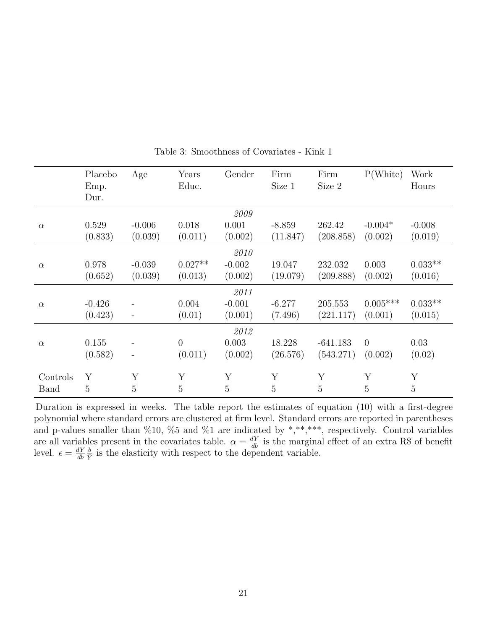|          | Placebo<br>Emp.<br>Dur. | Age                 | Years<br>Educ.       | Gender              | Firm<br>Size 1       | Firm<br>Size 2       | P(White)              | Work<br>Hours        |
|----------|-------------------------|---------------------|----------------------|---------------------|----------------------|----------------------|-----------------------|----------------------|
|          |                         |                     |                      | 2009                |                      |                      |                       |                      |
| $\alpha$ | 0.529<br>(0.833)        | $-0.006$<br>(0.039) | 0.018<br>(0.011)     | 0.001<br>(0.002)    | $-8.859$<br>(11.847) | 262.42<br>(208.858)  | $-0.004*$<br>(0.002)  | $-0.008$<br>(0.019)  |
|          |                         |                     |                      | 2010                |                      |                      |                       |                      |
| $\alpha$ | 0.978<br>(0.652)        | $-0.039$<br>(0.039) | $0.027**$<br>(0.013) | $-0.002$<br>(0.002) | 19.047<br>(19.079)   | 232.032<br>(209.888) | 0.003<br>(0.002)      | $0.033**$<br>(0.016) |
|          |                         |                     |                      | 2011                |                      |                      |                       |                      |
| $\alpha$ | $-0.426$<br>(0.423)     |                     | 0.004<br>(0.01)      | $-0.001$<br>(0.001) | $-6.277$<br>(7.496)  | 205.553<br>(221.117) | $0.005***$<br>(0.001) | $0.033**$<br>(0.015) |
|          |                         |                     |                      | 2012                |                      |                      |                       |                      |
| $\alpha$ | 0.155                   |                     | $\overline{0}$       | 0.003               | 18.228               | $-641.183$           | $\theta$              | 0.03                 |
|          | (0.582)                 |                     | (0.011)              | (0.002)             | (26.576)             | (543.271)            | (0.002)               | (0.02)               |
| Controls | Y                       | Y                   | Y                    | Y                   | Y                    | Y                    | Y                     | Y                    |
| Band     | 5                       | 5                   | $\overline{5}$       | 5                   | 5                    | 5                    | 5                     | $\overline{5}$       |

Table 3: Smoothness of Covariates - Kink 1

Duration is expressed in weeks. The table report the estimates of equation (10) with a first-degree polynomial where standard errors are clustered at firm level. Standard errors are reported in parentheses and p-values smaller than  $\%10, \%5$  and  $\%1$  are indicated by \*,\*\*,\*\*\*, respectively. Control variables are all variables present in the covariates table.  $\alpha = \frac{dY}{db}$  is the marginal effect of an extra R\$ of benefit level.  $\epsilon = \frac{dY}{db}$ db  $\frac{b}{\tilde{Y}}$  is the elasticity with respect to the dependent variable.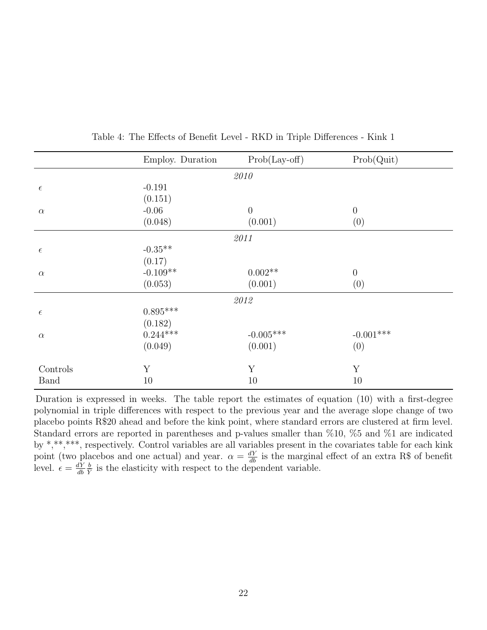| Employ. Duration |                       | Prob(Quit)                                                                                                                               |
|------------------|-----------------------|------------------------------------------------------------------------------------------------------------------------------------------|
|                  |                       |                                                                                                                                          |
| $-0.191$         |                       |                                                                                                                                          |
| (0.151)          |                       |                                                                                                                                          |
| $-0.06$          |                       | $\theta$                                                                                                                                 |
|                  |                       | (0)                                                                                                                                      |
|                  |                       |                                                                                                                                          |
| $-0.35**$        |                       |                                                                                                                                          |
| (0.17)           |                       |                                                                                                                                          |
|                  |                       | $\boldsymbol{0}$                                                                                                                         |
| (0.053)          |                       | (0)                                                                                                                                      |
|                  |                       |                                                                                                                                          |
| $0.895***$       |                       |                                                                                                                                          |
| (0.182)          |                       |                                                                                                                                          |
| $0.244***$       |                       | $-0.001***$                                                                                                                              |
| (0.049)          |                       | (0)                                                                                                                                      |
|                  |                       | Y                                                                                                                                        |
|                  |                       | 10                                                                                                                                       |
|                  | (0.048)<br>$-0.109**$ | $Prob(Lay-off)$<br>2010<br>$\boldsymbol{0}$<br>(0.001)<br>2011<br>$0.002**$<br>(0.001)<br>2012<br>$-0.005^{***}\,$<br>(0.001)<br>Y<br>10 |

Table 4: The Effects of Benefit Level - RKD in Triple Differences - Kink 1

Duration is expressed in weeks. The table report the estimates of equation (10) with a first-degree polynomial in triple differences with respect to the previous year and the average slope change of two placebo points R\$20 ahead and before the kink point, where standard errors are clustered at firm level. Standard errors are reported in parentheses and p-values smaller than %10, %5 and %1 are indicated by \*,\*\*,\*\*\*, respectively. Control variables are all variables present in the covariates table for each kink point (two placebos and one actual) and year.  $\alpha = \frac{dY}{db}$  is the marginal effect of an extra R\$ of benefit level.  $\epsilon = \frac{dY}{dh}$ db  $\frac{b}{\tilde{Y}}$  is the elasticity with respect to the dependent variable.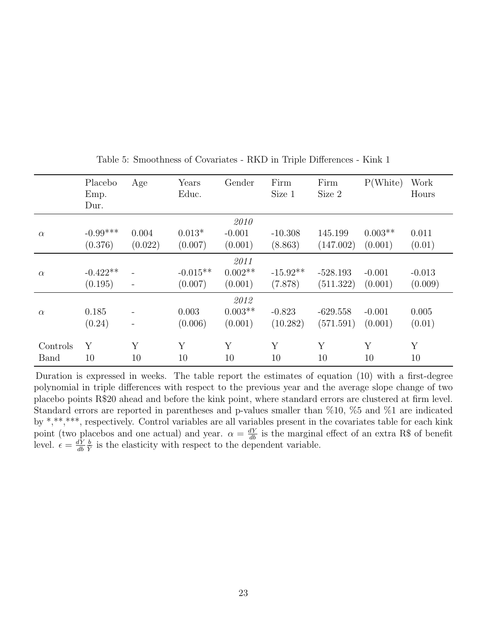|          | Placebo<br>Emp.<br>Dur. | Age                      | Years<br>Educ. | Gender    | Firm<br>Size 1 | Firm<br>Size 2 | P(White)  | Work<br>Hours |
|----------|-------------------------|--------------------------|----------------|-----------|----------------|----------------|-----------|---------------|
|          |                         |                          |                | 2010      |                |                |           |               |
| $\alpha$ | $-0.99***$              | 0.004                    | $0.013*$       | $-0.001$  | $-10.308$      | 145.199        | $0.003**$ | 0.011         |
|          | (0.376)                 | (0.022)                  | (0.007)        | (0.001)   | (8.863)        | (147.002)      | (0.001)   | (0.01)        |
|          |                         |                          |                | 2011      |                |                |           |               |
| $\alpha$ | $-0.422**$              |                          | $-0.015**$     | $0.002**$ | $-15.92**$     | $-528.193$     | $-0.001$  | $-0.013$      |
|          | (0.195)                 |                          | (0.007)        | (0.001)   | (7.878)        | (511.322)      | (0.001)   | (0.009)       |
|          |                         |                          |                | 2012      |                |                |           |               |
| $\alpha$ | 0.185                   |                          | 0.003          | $0.003**$ | $-0.823$       | $-629.558$     | $-0.001$  | 0.005         |
|          | (0.24)                  | $\overline{\phantom{a}}$ | (0.006)        | (0.001)   | (10.282)       | (571.591)      | (0.001)   | (0.01)        |
|          |                         |                          |                |           |                |                |           |               |
| Controls | Υ                       | Υ                        | Y              | Y         | Y              | Y              | Y         | Y             |
| Band     | 10                      | 10                       | 10             | 10        | 10             | 10             | 10        | 10            |

Table 5: Smoothness of Covariates - RKD in Triple Differences - Kink 1

Duration is expressed in weeks. The table report the estimates of equation (10) with a first-degree polynomial in triple differences with respect to the previous year and the average slope change of two placebo points R\$20 ahead and before the kink point, where standard errors are clustered at firm level. Standard errors are reported in parentheses and p-values smaller than %10, %5 and %1 are indicated by \*,\*\*,\*\*\*, respectively. Control variables are all variables present in the covariates table for each kink point (two placebos and one actual) and year.  $\alpha = \frac{dY}{db}$  is the marginal effect of an extra R\$ of benefit level.  $\epsilon = \frac{dY}{db}$ db  $\frac{b}{\tilde{Y}}$  is the elasticity with respect to the dependent variable.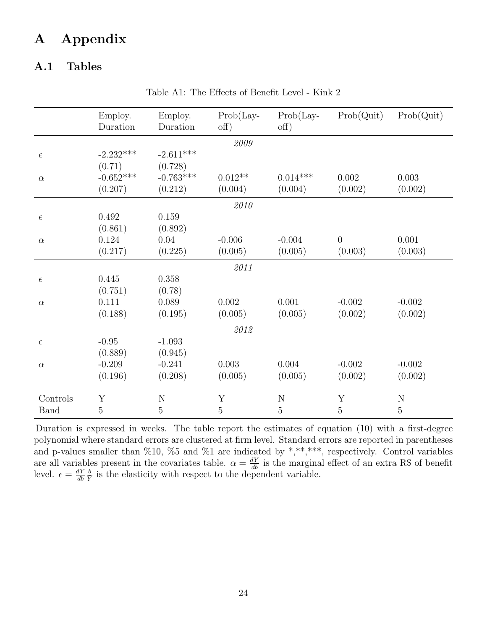## A Appendix

### A.1 Tables

|            | Employ.<br>Duration | Employ.<br>Duration | $Prob(Lay -$<br>off) | $Prob(Lay -$<br>$\text{off}$ ) | Prob(Quit)     | Prob(Quit) |  |  |  |
|------------|---------------------|---------------------|----------------------|--------------------------------|----------------|------------|--|--|--|
| 2009       |                     |                     |                      |                                |                |            |  |  |  |
| $\epsilon$ | $-2.232***$         | $-2.611***$         |                      |                                |                |            |  |  |  |
|            | (0.71)              | (0.728)             |                      |                                |                |            |  |  |  |
| $\alpha$   | $-0.652***$         | $-0.763***$         | $0.012**$            | $0.014***$                     | 0.002          | 0.003      |  |  |  |
|            | (0.207)             | (0.212)             | (0.004)              | (0.004)                        | (0.002)        | (0.002)    |  |  |  |
|            |                     |                     | $\it 2010$           |                                |                |            |  |  |  |
| $\epsilon$ | 0.492               | 0.159               |                      |                                |                |            |  |  |  |
|            | (0.861)             | (0.892)             |                      |                                |                |            |  |  |  |
| $\alpha$   | 0.124               | 0.04                | $-0.006$             | $-0.004$                       | $\overline{0}$ | 0.001      |  |  |  |
|            | (0.217)             | (0.225)             | (0.005)              | (0.005)                        | (0.003)        | (0.003)    |  |  |  |
|            |                     |                     | 2011                 |                                |                |            |  |  |  |
| $\epsilon$ | 0.445               | $0.358\,$           |                      |                                |                |            |  |  |  |
|            | (0.751)             | (0.78)              |                      |                                |                |            |  |  |  |
| $\alpha$   | 0.111               | 0.089               | 0.002                | 0.001                          | $-0.002$       | $-0.002$   |  |  |  |
|            | (0.188)             | (0.195)             | (0.005)              | (0.005)                        | (0.002)        | (0.002)    |  |  |  |
|            |                     |                     | 2012                 |                                |                |            |  |  |  |
| $\epsilon$ | $-0.95$             | $-1.093$            |                      |                                |                |            |  |  |  |
|            | (0.889)             | (0.945)             |                      |                                |                |            |  |  |  |
| $\alpha$   | $-0.209$            | $-0.241$            | 0.003                | 0.004                          | $-0.002$       | $-0.002$   |  |  |  |
|            | (0.196)             | (0.208)             | (0.005)              | (0.005)                        | (0.002)        | (0.002)    |  |  |  |
| Controls   | Y                   | N                   | Y                    | N                              | Y              | ${\rm N}$  |  |  |  |
| Band       | 5                   | $\overline{5}$      | $\overline{5}$       | $\overline{5}$                 | 5              | 5          |  |  |  |

Table A1: The Effects of Benefit Level - Kink 2

Duration is expressed in weeks. The table report the estimates of equation (10) with a first-degree polynomial where standard errors are clustered at firm level. Standard errors are reported in parentheses and p-values smaller than %10, %5 and %1 are indicated by \*,\*\*,\*\*\*, respectively. Control variables are all variables present in the covariates table.  $\alpha = \frac{dY}{db}$  is the marginal effect of an extra R\$ of benefit level.  $\epsilon = \frac{dY}{db}$ db  $\frac{b}{\overline{Y}}$  is the elasticity with respect to the dependent variable.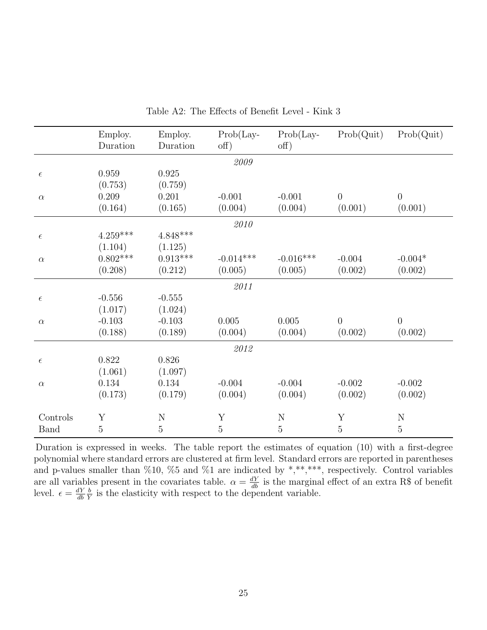|             | Employ.<br>Duration | Employ.<br>Duration | $Prob(Lay -$<br>$\text{off}$ ) | $Prob(Lay -$<br>off) | Prob(Quit)     | Prob(Quit)     |
|-------------|---------------------|---------------------|--------------------------------|----------------------|----------------|----------------|
|             |                     |                     | $\boldsymbol{2009}$            |                      |                |                |
| $\epsilon$  | 0.959               | 0.925               |                                |                      |                |                |
|             | (0.753)             | (0.759)             |                                |                      |                |                |
| $\alpha$    | 0.209               | 0.201               | $-0.001$                       | $-0.001$             | $\overline{0}$ | $\overline{0}$ |
|             | (0.164)             | (0.165)             | (0.004)                        | (0.004)              | (0.001)        | (0.001)        |
|             |                     |                     | $\it 2010$                     |                      |                |                |
| $\epsilon$  | $4.259***$          | $4.848^{***}\,$     |                                |                      |                |                |
|             | (1.104)             | (1.125)             |                                |                      |                |                |
| $\alpha$    | $0.802***$          | $0.913***$          | $-0.014***$                    | $-0.016***$          | $-0.004$       | $-0.004*$      |
|             | (0.208)             | (0.212)             | (0.005)                        | (0.005)              | (0.002)        | (0.002)        |
|             |                     |                     | 2011                           |                      |                |                |
| $\epsilon$  | $-0.556$            | $-0.555$            |                                |                      |                |                |
|             | (1.017)             | (1.024)             |                                |                      |                |                |
| $\alpha$    | $-0.103$            | $-0.103$            | $0.005\,$                      | 0.005                | $\overline{0}$ | $\overline{0}$ |
|             | (0.188)             | (0.189)             | (0.004)                        | (0.004)              | (0.002)        | (0.002)        |
|             |                     |                     | $\it 2012$                     |                      |                |                |
| $\epsilon$  | 0.822               | 0.826               |                                |                      |                |                |
|             | (1.061)             | (1.097)             |                                |                      |                |                |
| $\alpha$    | 0.134               | 0.134               | $-0.004$                       | $-0.004$             | $-0.002$       | $-0.002$       |
|             | (0.173)             | (0.179)             | (0.004)                        | (0.004)              | (0.002)        | (0.002)        |
| Controls    | Y                   | ${\rm N}$           | Y                              | $\mathbf N$          | Y              | N              |
| <b>Band</b> | 5                   | $\overline{5}$      | $\overline{5}$                 | $\overline{5}$       | $\overline{5}$ | $\overline{5}$ |
|             |                     |                     |                                |                      |                |                |

Table A2: The Effects of Benefit Level - Kink 3

Duration is expressed in weeks. The table report the estimates of equation (10) with a first-degree polynomial where standard errors are clustered at firm level. Standard errors are reported in parentheses and p-values smaller than %10, %5 and %1 are indicated by \*,\*\*,\*\*\*, respectively. Control variables are all variables present in the covariates table.  $\alpha = \frac{dY}{db}$  is the marginal effect of an extra R\$ of benefit level.  $\epsilon = \frac{dY}{db}$ db  $\frac{b}{\tilde{Y}}$  is the elasticity with respect to the dependent variable.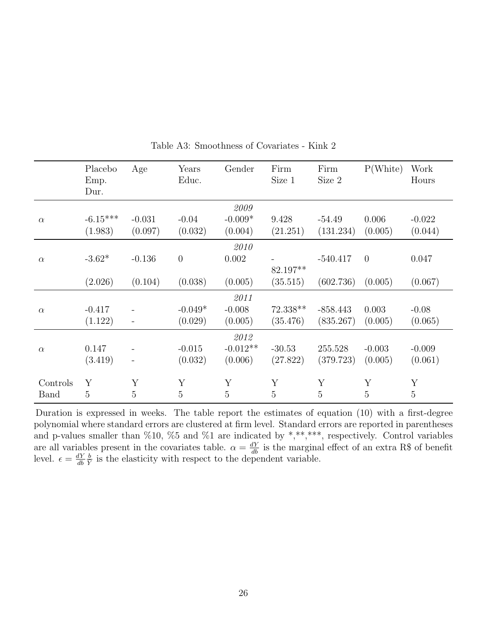|             | Placebo<br>Emp.<br>Dur. | Age            | Years<br>Educ. | Gender     | Firm<br>Size 1 | Firm<br>Size 2 | P(White) | Work<br>Hours  |
|-------------|-------------------------|----------------|----------------|------------|----------------|----------------|----------|----------------|
|             |                         |                |                | 2009       |                |                |          |                |
| $\alpha$    | $-6.15***$              | $-0.031$       | $-0.04$        | $-0.009*$  | 9.428          | $-54.49$       | 0.006    | $-0.022$       |
|             | (1.983)                 | (0.097)        | (0.032)        | (0.004)    | (21.251)       | (131.234)      | (0.005)  | (0.044)        |
|             |                         |                |                | 2010       |                |                |          |                |
| $\alpha$    | $-3.62*$                | $-0.136$       | $\overline{0}$ | 0.002      |                | $-540.417$     | $\theta$ | 0.047          |
|             |                         |                |                |            | 82.197**       |                |          |                |
|             | (2.026)                 | (0.104)        | (0.038)        | (0.005)    | (35.515)       | (602.736)      | (0.005)  | (0.067)        |
|             |                         |                |                | 2011       |                |                |          |                |
| $\alpha$    | $-0.417$                |                | $-0.049*$      | $-0.008$   | 72.338**       | $-858.443$     | 0.003    | $-0.08$        |
|             | (1.122)                 |                | (0.029)        | (0.005)    | (35.476)       | (835.267)      | (0.005)  | (0.065)        |
|             |                         |                |                | 2012       |                |                |          |                |
| $\alpha$    | 0.147                   |                | $-0.015$       | $-0.012**$ | $-30.53$       | 255.528        | $-0.003$ | $-0.009$       |
|             | (3.419)                 |                | (0.032)        | (0.006)    | (27.822)       | (379.723)      | (0.005)  | (0.061)        |
|             |                         |                |                |            |                |                |          |                |
| Controls    | Y                       | Y              | Y              | Y          | Y              | Y              | Y        | Y              |
| <b>Band</b> | 5                       | $\overline{5}$ | 5              | 5          | 5              | 5              | 5        | $\overline{5}$ |

Table A3: Smoothness of Covariates - Kink 2

Duration is expressed in weeks. The table report the estimates of equation (10) with a first-degree polynomial where standard errors are clustered at firm level. Standard errors are reported in parentheses and p-values smaller than  $\%10$ ,  $\%5$  and  $\%1$  are indicated by \*,\*\*,\*\*\*, respectively. Control variables are all variables present in the covariates table.  $\alpha = \frac{dY}{db}$  is the marginal effect of an extra R\$ of benefit level.  $\epsilon = \frac{dY}{db}$ db  $\frac{b}{Y}$  is the elasticity with respect to the dependent variable.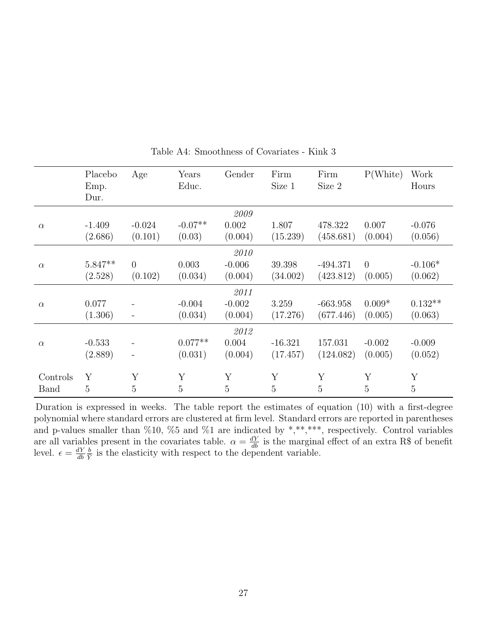|          | Placebo<br>Emp.<br>Dur. | Age                      | Years<br>Educ. | Gender   | Firm<br>Size 1 | Firm<br>Size 2 | P(White) | Work<br>Hours  |
|----------|-------------------------|--------------------------|----------------|----------|----------------|----------------|----------|----------------|
|          |                         |                          |                | 2009     |                |                |          |                |
| $\alpha$ | $-1.409$                | $-0.024$                 | $-0.07**$      | 0.002    | 1.807          | 478.322        | 0.007    | $-0.076$       |
|          | (2.686)                 | (0.101)                  | (0.03)         | (0.004)  | (15.239)       | (458.681)      | (0.004)  | (0.056)        |
|          |                         |                          |                | 2010     |                |                |          |                |
| $\alpha$ | $5.847**$               | $\theta$                 | 0.003          | $-0.006$ | 39.398         | $-494.371$     | $\theta$ | $-0.106*$      |
|          | (2.528)                 | (0.102)                  | (0.034)        | (0.004)  | (34.002)       | (423.812)      | (0.005)  | (0.062)        |
|          |                         |                          |                | 2011     |                |                |          |                |
| $\alpha$ | 0.077                   |                          | $-0.004$       | $-0.002$ | 3.259          | $-663.958$     | $0.009*$ | $0.132**$      |
|          | (1.306)                 |                          | (0.034)        | (0.004)  | (17.276)       | (677.446)      | (0.005)  | (0.063)        |
|          |                         |                          |                | 2012     |                |                |          |                |
| $\alpha$ | $-0.533$                |                          | $0.077**$      | 0.004    | $-16.321$      | 157.031        | $-0.002$ | $-0.009$       |
|          | (2.889)                 | $\overline{\phantom{a}}$ | (0.031)        | (0.004)  | (17.457)       | (124.082)      | (0.005)  | (0.052)        |
| Controls | Y                       | Y                        | Y              | Y        | Y              | Y              | Y        | Y              |
| Band     | 5                       | $\overline{5}$           | $\overline{5}$ | 5        | 5              | 5              | 5        | $\overline{5}$ |

Table A4: Smoothness of Covariates - Kink 3

Duration is expressed in weeks. The table report the estimates of equation (10) with a first-degree polynomial where standard errors are clustered at firm level. Standard errors are reported in parentheses and p-values smaller than  $\%10, \%5$  and  $\%1$  are indicated by \*,\*\*,\*\*\*, respectively. Control variables are all variables present in the covariates table.  $\alpha = \frac{dY}{db}$  is the marginal effect of an extra R\$ of benefit level.  $\epsilon = \frac{dY}{db}$ db  $\frac{b}{\tilde{Y}}$  is the elasticity with respect to the dependent variable.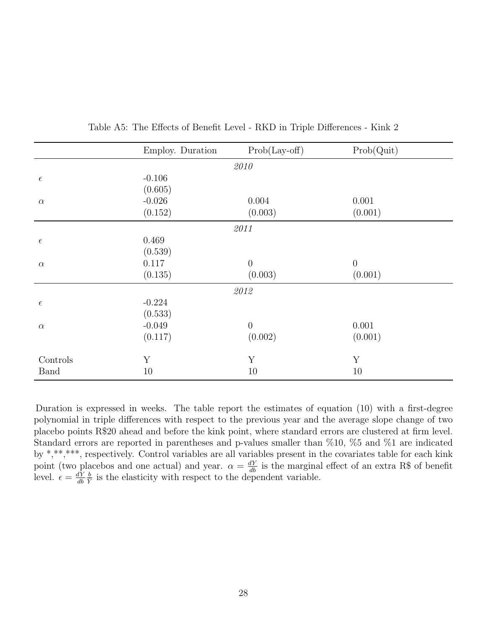|             | Employ. Duration | $Prob(Lay-off)$  | Prob(Quit) |
|-------------|------------------|------------------|------------|
|             |                  | 2010             |            |
| $\epsilon$  | $-0.106$         |                  |            |
|             | (0.605)          |                  |            |
| $\alpha$    | $-0.026$         | 0.004            | 0.001      |
|             | (0.152)          | (0.003)          | (0.001)    |
|             |                  | 2011             |            |
| $\epsilon$  | 0.469            |                  |            |
|             | (0.539)          |                  |            |
| $\alpha$    | 0.117            | $\boldsymbol{0}$ | $\theta$   |
|             | (0.135)          | (0.003)          | (0.001)    |
|             |                  | 2012             |            |
| $\epsilon$  | $-0.224$         |                  |            |
|             | (0.533)          |                  |            |
| $\alpha$    | $-0.049$         | $\boldsymbol{0}$ | 0.001      |
|             | (0.117)          | (0.002)          | (0.001)    |
| Controls    | Y                | Y                | Y          |
| <b>Band</b> | 10               | 10               | 10         |

Table A5: The Effects of Benefit Level - RKD in Triple Differences - Kink 2

Duration is expressed in weeks. The table report the estimates of equation (10) with a first-degree polynomial in triple differences with respect to the previous year and the average slope change of two placebo points R\$20 ahead and before the kink point, where standard errors are clustered at firm level. Standard errors are reported in parentheses and p-values smaller than %10, %5 and %1 are indicated by \*,\*\*,\*\*\*, respectively. Control variables are all variables present in the covariates table for each kink point (two placebos and one actual) and year.  $\alpha = \frac{dY}{db}$  is the marginal effect of an extra R\$ of benefit level.  $\epsilon = \frac{dY}{db}$ db  $\frac{b}{Y}$  is the elasticity with respect to the dependent variable.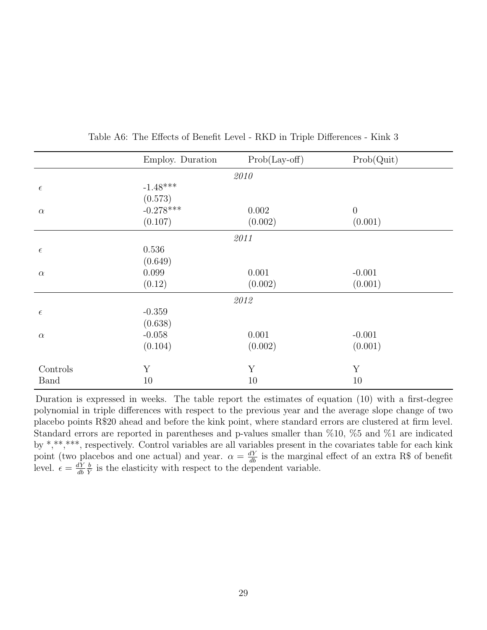|             | Employ. Duration | $Prob(Lay-off)$ | Prob(Quit) |  |  |  |  |  |
|-------------|------------------|-----------------|------------|--|--|--|--|--|
| 2010        |                  |                 |            |  |  |  |  |  |
| $\epsilon$  | $-1.48***$       |                 |            |  |  |  |  |  |
|             | (0.573)          |                 |            |  |  |  |  |  |
| $\alpha$    | $-0.278***$      | 0.002           | $\theta$   |  |  |  |  |  |
|             | (0.107)          | (0.002)         | (0.001)    |  |  |  |  |  |
|             |                  | 2011            |            |  |  |  |  |  |
| $\epsilon$  | 0.536            |                 |            |  |  |  |  |  |
|             | (0.649)          |                 |            |  |  |  |  |  |
| $\alpha$    | 0.099            | 0.001           | $-0.001$   |  |  |  |  |  |
|             | (0.12)           | (0.002)         | (0.001)    |  |  |  |  |  |
|             |                  | 2012            |            |  |  |  |  |  |
| $\epsilon$  | $-0.359$         |                 |            |  |  |  |  |  |
|             | (0.638)          |                 |            |  |  |  |  |  |
| $\alpha$    | $-0.058$         | 0.001           | $-0.001$   |  |  |  |  |  |
|             | (0.104)          | (0.002)         | (0.001)    |  |  |  |  |  |
| Controls    | Y                | Y               | Y          |  |  |  |  |  |
| <b>Band</b> | 10               | 10              | 10         |  |  |  |  |  |
|             |                  |                 |            |  |  |  |  |  |

Table A6: The Effects of Benefit Level - RKD in Triple Differences - Kink 3

Duration is expressed in weeks. The table report the estimates of equation (10) with a first-degree polynomial in triple differences with respect to the previous year and the average slope change of two placebo points R\$20 ahead and before the kink point, where standard errors are clustered at firm level. Standard errors are reported in parentheses and p-values smaller than %10, %5 and %1 are indicated by \*,\*\*,\*\*\*, respectively. Control variables are all variables present in the covariates table for each kink point (two placebos and one actual) and year.  $\alpha = \frac{dY}{db}$  is the marginal effect of an extra R\$ of benefit level.  $\epsilon = \frac{dY}{dh}$ db  $\frac{b}{\tilde{Y}}$  is the elasticity with respect to the dependent variable.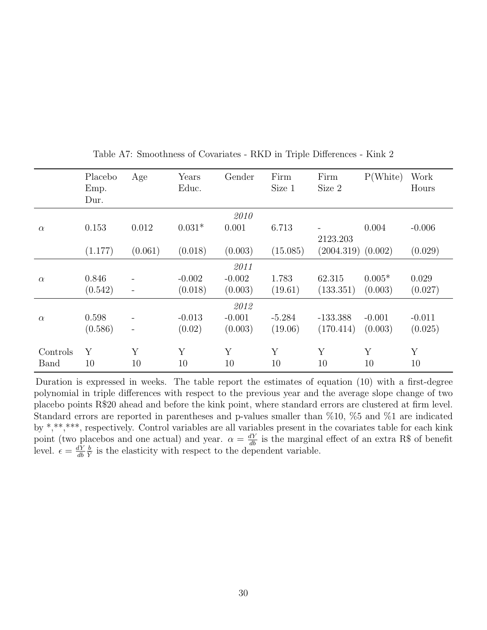|              | Placebo | Age                          | Years    | Gender   | Firm     | Firm                   | P(White) | Work        |
|--------------|---------|------------------------------|----------|----------|----------|------------------------|----------|-------------|
|              | Emp.    |                              | Educ.    |          | Size 1   | Size 2                 |          | Hours       |
|              | Dur.    |                              |          |          |          |                        |          |             |
|              |         |                              |          | 2010     |          |                        |          |             |
| $\alpha$     | 0.153   | 0.012                        | $0.031*$ | 0.001    | 6.713    |                        | 0.004    | $-0.006$    |
|              |         |                              |          |          |          | 2123.203               |          |             |
|              | (1.177) | (0.061)                      | (0.018)  | (0.003)  | (15.085) | $(2004.319)$ $(0.002)$ |          | (0.029)     |
|              |         |                              |          | 2011     |          |                        |          |             |
| $\alpha$     | 0.846   |                              | $-0.002$ | $-0.002$ | 1.783    | 62.315                 | $0.005*$ | 0.029       |
|              | (0.542) | $\qquad \qquad$              | (0.018)  | (0.003)  | (19.61)  | (133.351)              | (0.003)  | (0.027)     |
|              |         |                              |          | 2012     |          |                        |          |             |
| $\alpha$     | 0.598   |                              | $-0.013$ | $-0.001$ | $-5.284$ | $-133.388$             | $-0.001$ | $-0.011$    |
|              | (0.586) | $\qquad \qquad \blacksquare$ | (0.02)   | (0.003)  | (19.06)  | (170.414)              | (0.003)  | (0.025)     |
|              |         |                              |          |          |          |                        |          |             |
| Controls     | Y       | Y                            | Y        | Y        | Y        | Y                      | Y        | $\mathbf Y$ |
| <b>B</b> and | 10      | 10                           | 10       | 10       | 10       | 10                     | 10       | 10          |

Table A7: Smoothness of Covariates - RKD in Triple Differences - Kink 2

Duration is expressed in weeks. The table report the estimates of equation (10) with a first-degree polynomial in triple differences with respect to the previous year and the average slope change of two placebo points R\$20 ahead and before the kink point, where standard errors are clustered at firm level. Standard errors are reported in parentheses and p-values smaller than %10, %5 and %1 are indicated by \*,\*\*,\*\*\*, respectively. Control variables are all variables present in the covariates table for each kink point (two placebos and one actual) and year.  $\alpha = \frac{dY}{db}$  is the marginal effect of an extra R\$ of benefit level.  $\epsilon = \frac{dY}{db}$ db  $\frac{b}{\tilde{Y}}$  is the elasticity with respect to the dependent variable.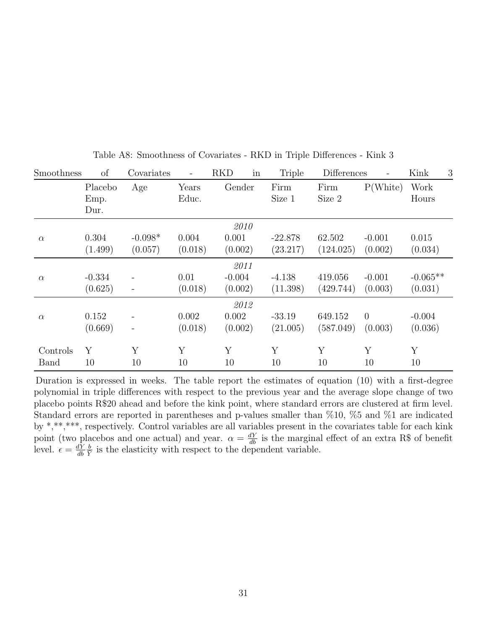| Smoothness   | of       | Covariates               | $\qquad \qquad -$ | in<br><b>RKD</b> | <b>Triple</b> | <b>Differences</b> |          | Kink<br>3  |
|--------------|----------|--------------------------|-------------------|------------------|---------------|--------------------|----------|------------|
|              | Placebo  | Age                      | Years             | Gender           | Firm          | Firm               | P(White) | Work       |
|              | Emp.     |                          | Educ.             |                  | Size 1        | Size 2             |          | Hours      |
|              | Dur.     |                          |                   |                  |               |                    |          |            |
|              |          |                          |                   | 2010             |               |                    |          |            |
| $\alpha$     | 0.304    | $-0.098*$                | 0.004             | 0.001            | $-22.878$     | 62.502             | $-0.001$ | 0.015      |
|              | (1.499)  | (0.057)                  | (0.018)           | (0.002)          | (23.217)      | (124.025)          | (0.002)  | (0.034)    |
|              |          |                          |                   | 2011             |               |                    |          |            |
| $\alpha$     | $-0.334$ |                          | 0.01              | $-0.004$         | $-4.138$      | 419.056            | $-0.001$ | $-0.065**$ |
|              | (0.625)  | $\qquad \qquad -$        | (0.018)           | (0.002)          | (11.398)      | (429.744)          | (0.003)  | (0.031)    |
|              |          |                          |                   | 2012             |               |                    |          |            |
| $\alpha$     | 0.152    |                          | 0.002             | 0.002            | $-33.19$      | 649.152            | $\theta$ | $-0.004$   |
|              | (0.669)  | $\overline{\phantom{a}}$ | (0.018)           | (0.002)          | (21.005)      | (587.049)          | (0.003)  | (0.036)    |
| Controls     | Y        | Y                        | Y                 | Y                | Y             | Y                  | Y        | Y          |
| <b>B</b> and | 10       | 10                       | 10                | 10               | 10            | 10                 | 10       | 10         |
|              |          |                          |                   |                  |               |                    |          |            |

Table A8: Smoothness of Covariates - RKD in Triple Differences - Kink 3

Duration is expressed in weeks. The table report the estimates of equation (10) with a first-degree polynomial in triple differences with respect to the previous year and the average slope change of two placebo points R\$20 ahead and before the kink point, where standard errors are clustered at firm level. Standard errors are reported in parentheses and p-values smaller than %10, %5 and %1 are indicated by \*,\*\*,\*\*\*, respectively. Control variables are all variables present in the covariates table for each kink point (two placebos and one actual) and year.  $\alpha = \frac{dY}{db}$  is the marginal effect of an extra R\$ of benefit level.  $\epsilon = \frac{dY}{db}$ db  $\frac{b}{Y}$  is the elasticity with respect to the dependent variable.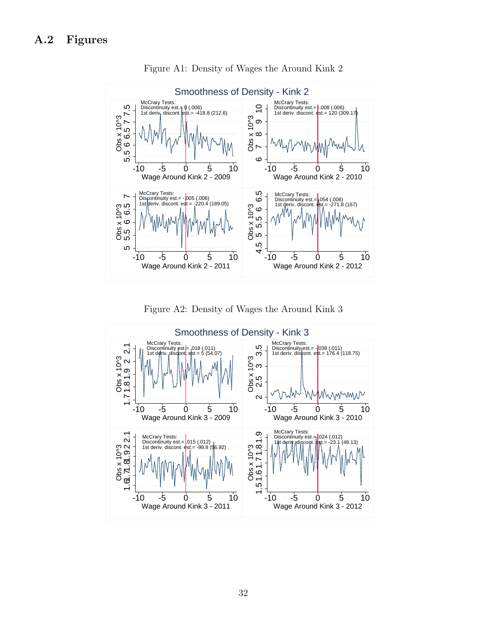

Figure A1: Density of Wages the Around Kink 2

Figure A2: Density of Wages the Around Kink 3

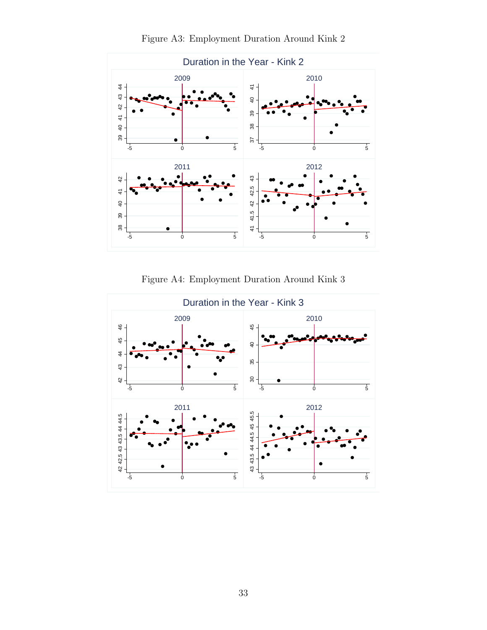

Figure A3: Employment Duration Around Kink 2

Figure A4: Employment Duration Around Kink 3

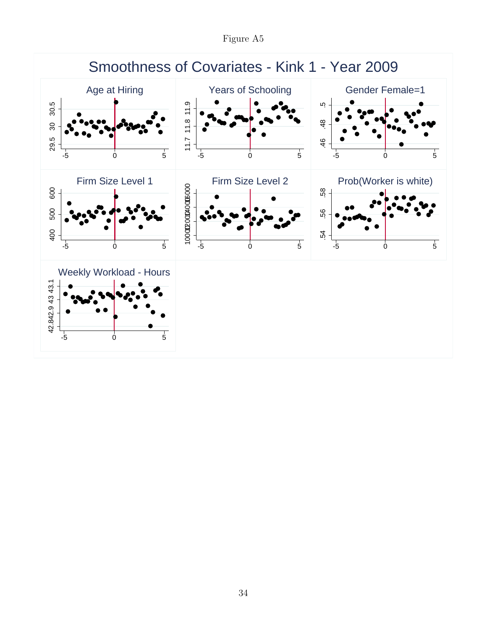Figure A5

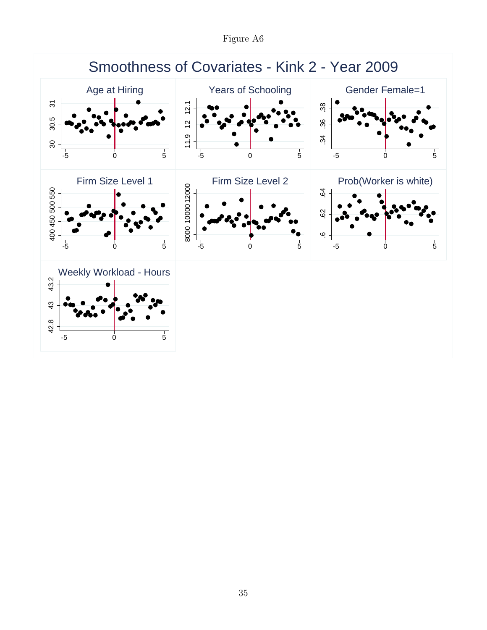Figure A6

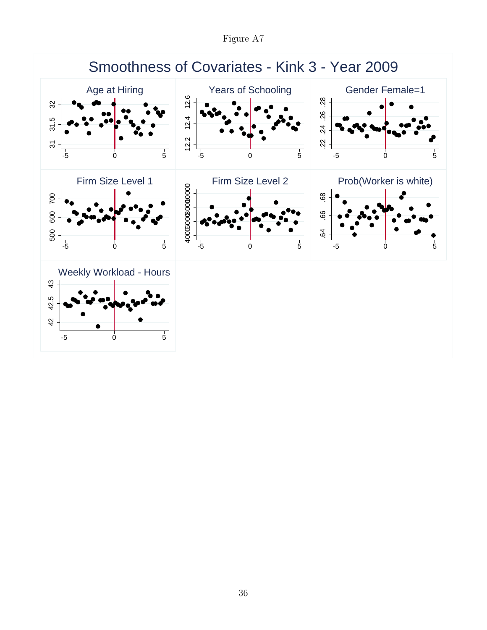Figure A7

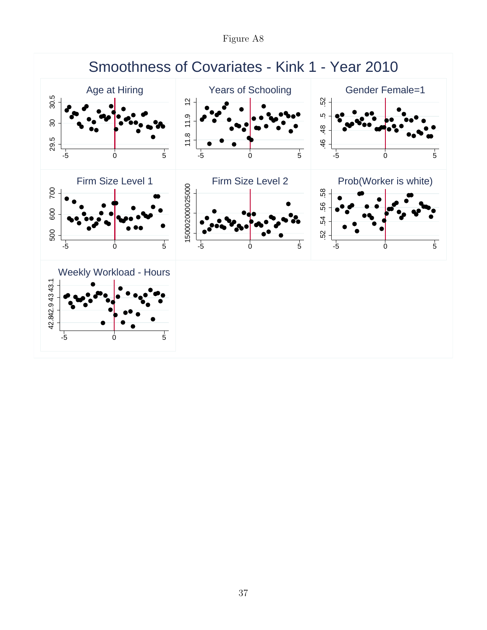Figure A8

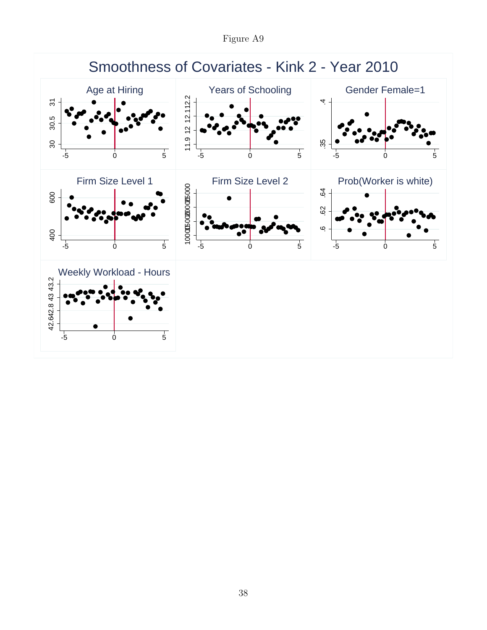Figure A9

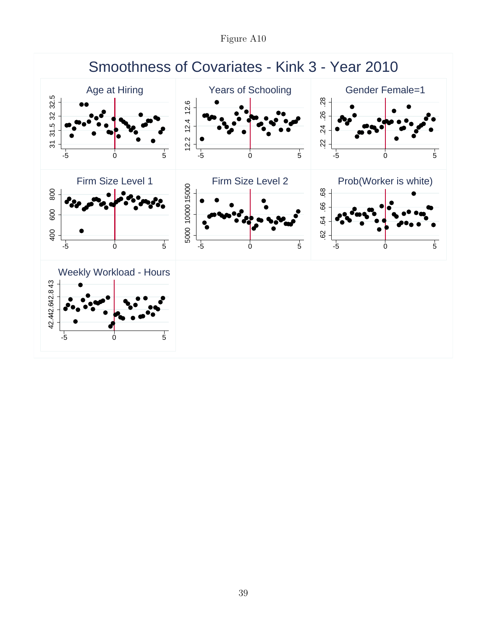Figure A10

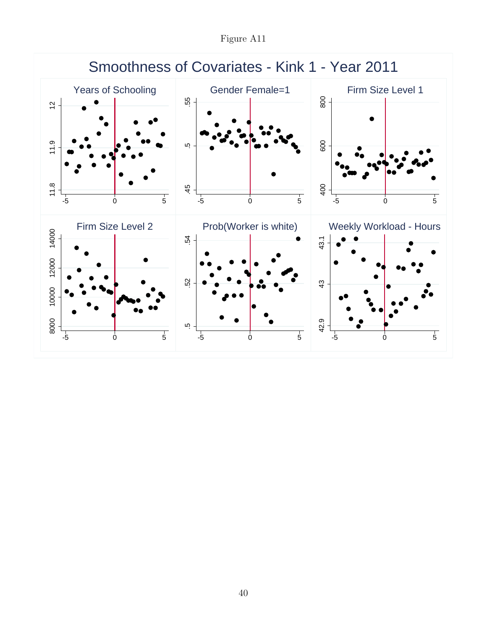Figure A11

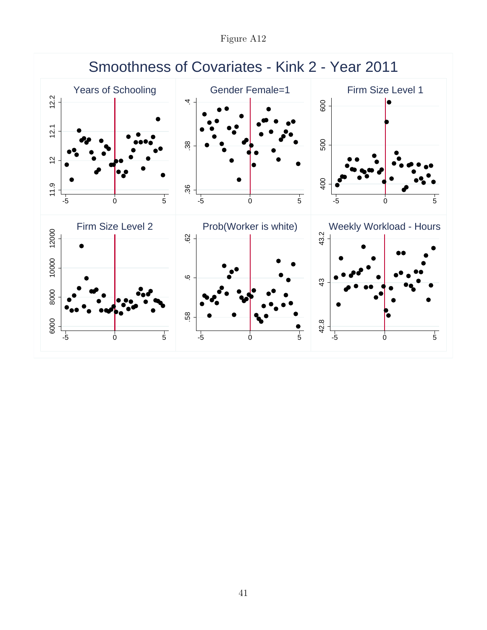Figure A12

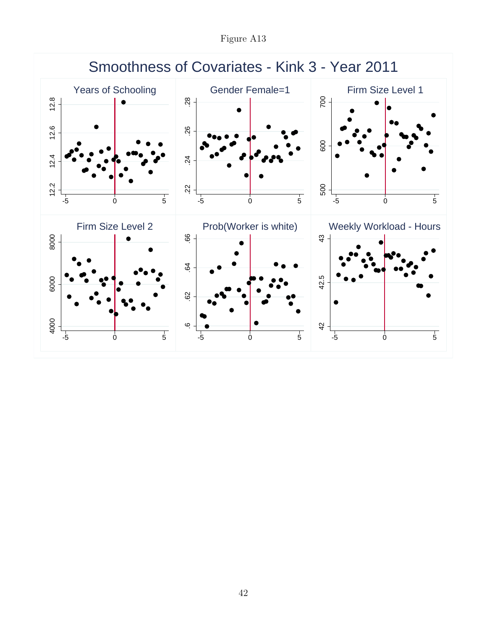Figure A13

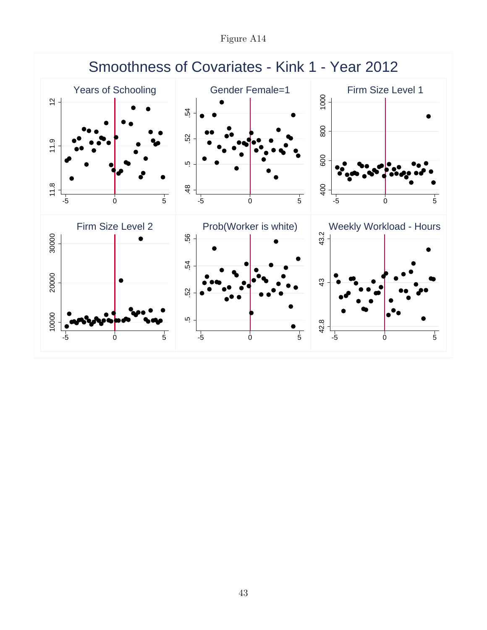Figure A14

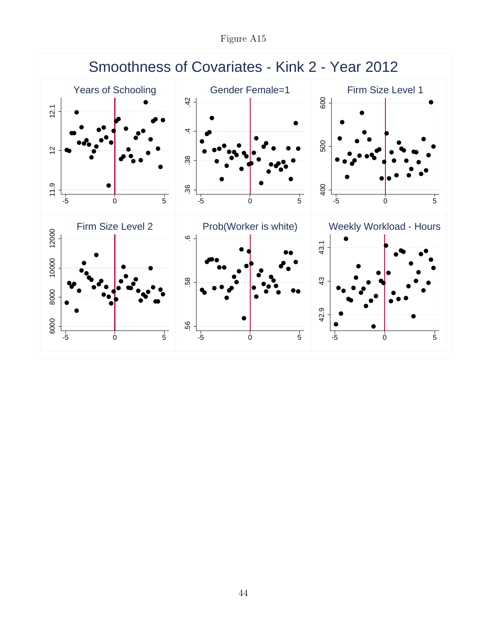Figure A15

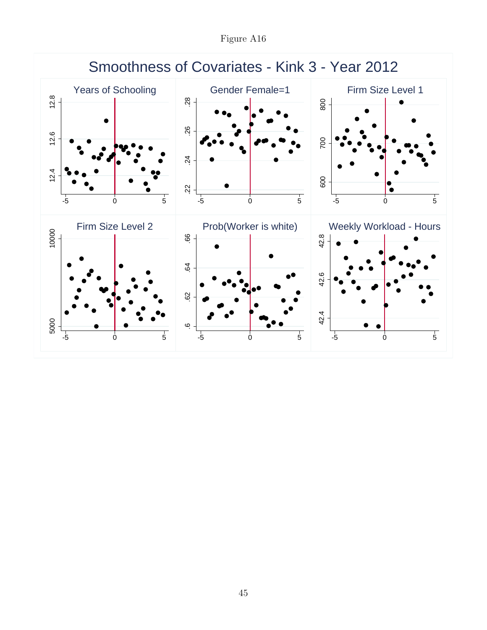Figure A16

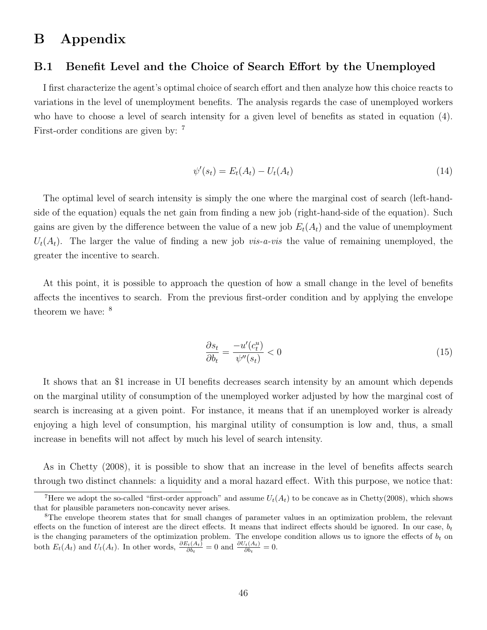### B Appendix

#### B.1 Benefit Level and the Choice of Search Effort by the Unemployed

I first characterize the agent's optimal choice of search effort and then analyze how this choice reacts to variations in the level of unemployment benefits. The analysis regards the case of unemployed workers who have to choose a level of search intensity for a given level of benefits as stated in equation (4). First-order conditions are given by: <sup>7</sup>

$$
\psi'(s_t) = E_t(A_t) - U_t(A_t) \tag{14}
$$

The optimal level of search intensity is simply the one where the marginal cost of search (left-handside of the equation) equals the net gain from finding a new job (right-hand-side of the equation). Such gains are given by the difference between the value of a new job  $E_t(A_t)$  and the value of unemployment  $U_t(A_t)$ . The larger the value of finding a new job *vis-a-vis* the value of remaining unemployed, the greater the incentive to search.

At this point, it is possible to approach the question of how a small change in the level of benefits affects the incentives to search. From the previous first-order condition and by applying the envelope theorem we have: <sup>8</sup>

$$
\frac{\partial s_t}{\partial b_t} = \frac{-u'(c_t^u)}{\psi''(s_t)} < 0\tag{15}
$$

It shows that an \$1 increase in UI benefits decreases search intensity by an amount which depends on the marginal utility of consumption of the unemployed worker adjusted by how the marginal cost of search is increasing at a given point. For instance, it means that if an unemployed worker is already enjoying a high level of consumption, his marginal utility of consumption is low and, thus, a small increase in benefits will not affect by much his level of search intensity.

As in Chetty (2008), it is possible to show that an increase in the level of benefits affects search through two distinct channels: a liquidity and a moral hazard effect. With this purpose, we notice that:

<sup>&</sup>lt;sup>7</sup>Here we adopt the so-called "first-order approach" and assume  $U_t(A_t)$  to be concave as in Chetty(2008), which shows that for plausible parameters non-concavity never arises.

<sup>&</sup>lt;sup>8</sup>The envelope theorem states that for small changes of parameter values in an optimization problem, the relevant effects on the function of interest are the direct effects. It means that indirect effects should be ignored. In our case,  $b_t$ is the changing parameters of the optimization problem. The envelope condition allows us to ignore the effects of  $b_t$  on both  $E_t(A_t)$  and  $U_t(A_t)$ . In other words,  $\frac{\partial E_t(A_t)}{\partial b_t} = 0$  and  $\frac{\partial U_t(A_t)}{\partial b_t} = 0$ .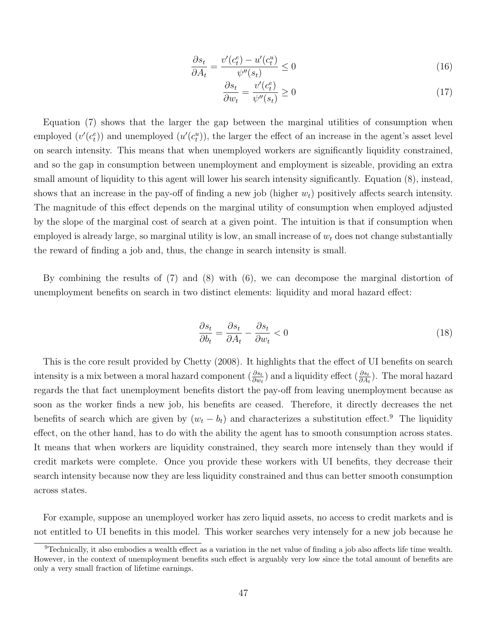$$
\frac{\partial s_t}{\partial A_t} = \frac{v'(c_t^e) - u'(c_t^u)}{\psi''(s_t)} \le 0
$$
\n(16)

$$
\frac{\partial s_t}{\partial w_t} = \frac{v'(c_t^e)}{\psi''(s_t)} \ge 0
$$
\n(17)

Equation (7) shows that the larger the gap between the marginal utilities of consumption when employed  $(v'(c_t^e))$  and unemployed  $(u'(c_t^u))$ , the larger the effect of an increase in the agent's asset level on search intensity. This means that when unemployed workers are significantly liquidity constrained, and so the gap in consumption between unemployment and employment is sizeable, providing an extra small amount of liquidity to this agent will lower his search intensity significantly. Equation (8), instead, shows that an increase in the pay-off of finding a new job (higher  $w_t$ ) positively affects search intensity. The magnitude of this effect depends on the marginal utility of consumption when employed adjusted by the slope of the marginal cost of search at a given point. The intuition is that if consumption when employed is already large, so marginal utility is low, an small increase of  $w_t$  does not change substantially the reward of finding a job and, thus, the change in search intensity is small.

By combining the results of (7) and (8) with (6), we can decompose the marginal distortion of unemployment benefits on search in two distinct elements: liquidity and moral hazard effect:

$$
\frac{\partial s_t}{\partial b_t} = \frac{\partial s_t}{\partial A_t} - \frac{\partial s_t}{\partial w_t} < 0 \tag{18}
$$

This is the core result provided by Chetty (2008). It highlights that the effect of UI benefits on search intensity is a mix between a moral hazard component  $(\frac{\partial s_t}{\partial w_t})$  and a liquidity effect  $(\frac{\partial s_t}{\partial A_t})$ . The moral hazard regards the that fact unemployment benefits distort the pay-off from leaving unemployment because as soon as the worker finds a new job, his benefits are ceased. Therefore, it directly decreases the net benefits of search which are given by  $(w_t - b_t)$  and characterizes a substitution effect.<sup>9</sup> The liquidity effect, on the other hand, has to do with the ability the agent has to smooth consumption across states. It means that when workers are liquidity constrained, they search more intensely than they would if credit markets were complete. Once you provide these workers with UI benefits, they decrease their search intensity because now they are less liquidity constrained and thus can better smooth consumption across states.

For example, suppose an unemployed worker has zero liquid assets, no access to credit markets and is not entitled to UI benefits in this model. This worker searches very intensely for a new job because he

<sup>9</sup>Technically, it also embodies a wealth effect as a variation in the net value of finding a job also affects life time wealth. However, in the context of unemployment benefits such effect is arguably very low since the total amount of benefits are only a very small fraction of lifetime earnings.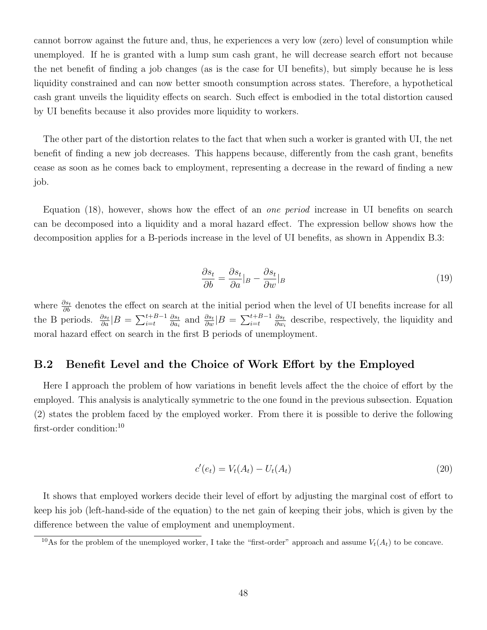cannot borrow against the future and, thus, he experiences a very low (zero) level of consumption while unemployed. If he is granted with a lump sum cash grant, he will decrease search effort not because the net benefit of finding a job changes (as is the case for UI benefits), but simply because he is less liquidity constrained and can now better smooth consumption across states. Therefore, a hypothetical cash grant unveils the liquidity effects on search. Such effect is embodied in the total distortion caused by UI benefits because it also provides more liquidity to workers.

The other part of the distortion relates to the fact that when such a worker is granted with UI, the net benefit of finding a new job decreases. This happens because, differently from the cash grant, benefits cease as soon as he comes back to employment, representing a decrease in the reward of finding a new job.

Equation (18), however, shows how the effect of an one period increase in UI benefits on search can be decomposed into a liquidity and a moral hazard effect. The expression bellow shows how the decomposition applies for a B-periods increase in the level of UI benefits, as shown in Appendix B.3:

$$
\frac{\partial s_t}{\partial b} = \frac{\partial s_t}{\partial a}|_B - \frac{\partial s_t}{\partial w}|_B \tag{19}
$$

where  $\frac{\partial s_t}{\partial b}$  denotes the effect on search at the initial period when the level of UI benefits increase for all the B periods.  $\frac{\partial s_t}{\partial a} |B = \sum_{i=t}^{t+B-1} \frac{\partial s_t}{\partial a_i}$  $\frac{\partial s_t}{\partial a_i}$  and  $\frac{\partial s_t}{\partial w}$  |  $B = \sum_{i=t}^{t+B-1} \frac{\partial s_t}{\partial w_i}$  $\frac{\partial s_t}{\partial w_i}$  describe, respectively, the liquidity and moral hazard effect on search in the first B periods of unemployment.

#### B.2 Benefit Level and the Choice of Work Effort by the Employed

Here I approach the problem of how variations in benefit levels affect the the choice of effort by the employed. This analysis is analytically symmetric to the one found in the previous subsection. Equation (2) states the problem faced by the employed worker. From there it is possible to derive the following first-order condition:<sup>10</sup>

$$
c'(e_t) = V_t(A_t) - U_t(A_t)
$$
\n(20)

It shows that employed workers decide their level of effort by adjusting the marginal cost of effort to keep his job (left-hand-side of the equation) to the net gain of keeping their jobs, which is given by the difference between the value of employment and unemployment.

<sup>&</sup>lt;sup>10</sup>As for the problem of the unemployed worker, I take the "first-order" approach and assume  $V_t(A_t)$  to be concave.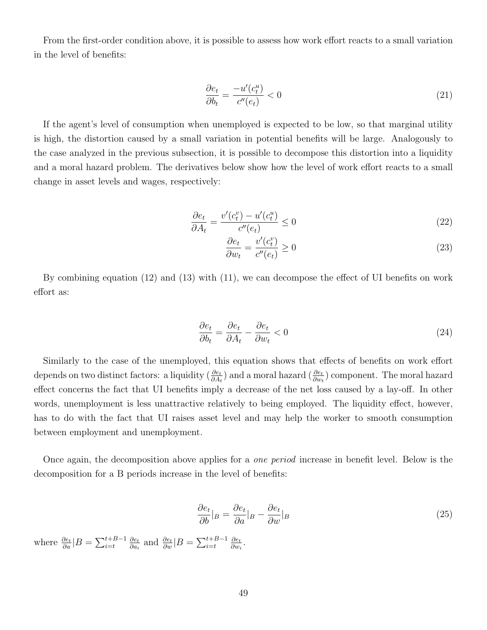From the first-order condition above, it is possible to assess how work effort reacts to a small variation in the level of benefits:

$$
\frac{\partial e_t}{\partial b_t} = \frac{-u'(c_t^u)}{c''(e_t)} < 0\tag{21}
$$

If the agent's level of consumption when unemployed is expected to be low, so that marginal utility is high, the distortion caused by a small variation in potential benefits will be large. Analogously to the case analyzed in the previous subsection, it is possible to decompose this distortion into a liquidity and a moral hazard problem. The derivatives below show how the level of work effort reacts to a small change in asset levels and wages, respectively:

$$
\frac{\partial e_t}{\partial A_t} = \frac{v'(c_t^v) - u'(c_t^u)}{c''(e_t)} \le 0
$$
\n
$$
(22)
$$

$$
\frac{\partial e_t}{\partial w_t} = \frac{v'(c_t^v)}{c''(e_t)} \ge 0\tag{23}
$$

By combining equation (12) and (13) with (11), we can decompose the effect of UI benefits on work effort as:

$$
\frac{\partial e_t}{\partial b_t} = \frac{\partial e_t}{\partial A_t} - \frac{\partial e_t}{\partial w_t} < 0 \tag{24}
$$

Similarly to the case of the unemployed, this equation shows that effects of benefits on work effort depends on two distinct factors: a liquidity  $(\frac{\partial e_t}{\partial A_t})$  and a moral hazard  $(\frac{\partial e_t}{\partial w_t})$  component. The moral hazard effect concerns the fact that UI benefits imply a decrease of the net loss caused by a lay-off. In other words, unemployment is less unattractive relatively to being employed. The liquidity effect, however, has to do with the fact that UI raises asset level and may help the worker to smooth consumption between employment and unemployment.

Once again, the decomposition above applies for a one period increase in benefit level. Below is the decomposition for a B periods increase in the level of benefits:

$$
\frac{\partial e_t}{\partial b}|_B = \frac{\partial e_t}{\partial a}|_B - \frac{\partial e_t}{\partial w}|_B \tag{25}
$$

where  $\frac{\partial e_t}{\partial a}|B = \sum_{i=t}^{t+B-1} \frac{\partial e_t}{\partial a_i}$  $\frac{\partial e_t}{\partial a_i}$  and  $\frac{\partial e_t}{\partial w}$  |  $B = \sum_{i=t}^{t+B-1} \frac{\partial e_t}{\partial w_i}$  $\frac{\partial e_t}{\partial w_i}$ .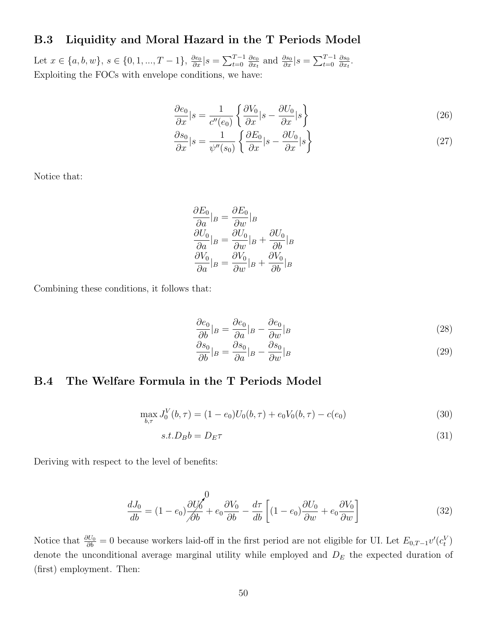### B.3 Liquidity and Moral Hazard in the T Periods Model

Let  $x \in \{a, b, w\}, s \in \{0, 1, ..., T - 1\}, \frac{\partial e_0}{\partial x} | s = \sum_{t=0}^{T-1} \frac{\partial e_0}{\partial x_t}$  $\frac{\partial e_0}{\partial x_t}$  and  $\frac{\partial s_0}{\partial x}|_s = \sum_{t=0}^{T-1} \frac{\partial s_0}{\partial x_t}$  $\frac{\partial s_0}{\partial x_t}$ . Exploiting the FOCs with envelope conditions, we have:

$$
\frac{\partial e_0}{\partial x}|s = \frac{1}{c''(e_0)} \left\{ \frac{\partial V_0}{\partial x}|s - \frac{\partial U_0}{\partial x}|s \right\} \tag{26}
$$

$$
\frac{\partial s_0}{\partial x}|s = \frac{1}{\psi''(s_0)} \left\{ \frac{\partial E_0}{\partial x}|s - \frac{\partial U_0}{\partial x}|s \right\} \tag{27}
$$

Notice that:

$$
\frac{\partial E_0}{\partial a}|_B = \frac{\partial E_0}{\partial w}|_B
$$

$$
\frac{\partial U_0}{\partial a}|_B = \frac{\partial U_0}{\partial w}|_B + \frac{\partial U_0}{\partial b}|_B
$$

$$
\frac{\partial V_0}{\partial a}|_B = \frac{\partial V_0}{\partial w}|_B + \frac{\partial V_0}{\partial b}|_B
$$

Combining these conditions, it follows that:

$$
\frac{\partial e_0}{\partial b}|_B = \frac{\partial e_0}{\partial a}|_B - \frac{\partial e_0}{\partial w}|_B \tag{28}
$$

$$
\frac{\partial s_0}{\partial b}|_B = \frac{\partial s_0}{\partial a}|_B - \frac{\partial s_0}{\partial w}|_B \tag{29}
$$

### B.4 The Welfare Formula in the T Periods Model

$$
\max_{b,\tau} J_0^V(b,\tau) = (1 - e_0)U_0(b,\tau) + e_0V_0(b,\tau) - c(e_0)
$$
\n(30)

$$
s.t. D_B b = D_E \tau \tag{31}
$$

Deriving with respect to the level of benefits:

$$
\frac{dJ_0}{db} = (1 - e_0) \frac{\partial U_0}{\partial b} + e_0 \frac{\partial V_0}{\partial b} - \frac{d\tau}{db} \left[ (1 - e_0) \frac{\partial U_0}{\partial w} + e_0 \frac{\partial V_0}{\partial w} \right]
$$
(32)

Notice that  $\frac{\partial U_0}{\partial b} = 0$  because workers laid-off in the first period are not eligible for UI. Let  $E_{0,T-1}v'(c_t^V)$ denote the unconditional average marginal utility while employed and  $D<sub>E</sub>$  the expected duration of (first) employment. Then: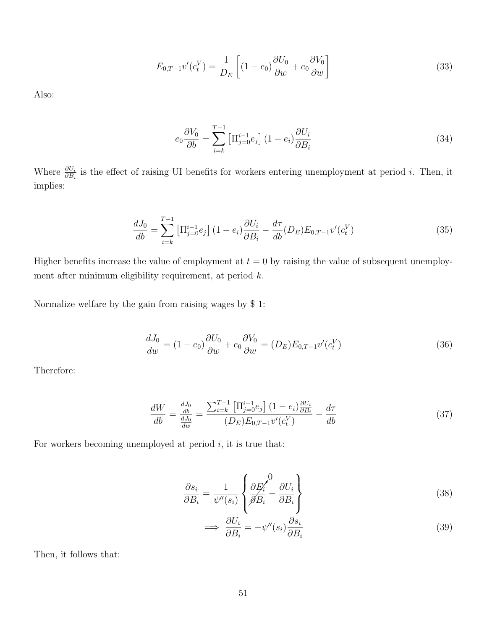$$
E_{0,T-1}v'(c_t^V) = \frac{1}{D_E} \left[ (1 - e_0) \frac{\partial U_0}{\partial w} + e_0 \frac{\partial V_0}{\partial w} \right]
$$
(33)

Also:

$$
e_0 \frac{\partial V_0}{\partial b} = \sum_{i=k}^{T-1} \left[ \Pi_{j=0}^{i-1} e_j \right] (1 - e_i) \frac{\partial U_i}{\partial B_i}
$$
 (34)

Where  $\frac{\partial U_i}{\partial B_i}$  is the effect of raising UI benefits for workers entering unemployment at period *i*. Then, it implies:

$$
\frac{dJ_0}{db} = \sum_{i=k}^{T-1} \left[ \Pi_{j=0}^{i-1} e_j \right] (1 - e_i) \frac{\partial U_i}{\partial B_i} - \frac{d\tau}{db} (D_E) E_{0,T-1} v'(c_t^V)
$$
(35)

Higher benefits increase the value of employment at  $t = 0$  by raising the value of subsequent unemployment after minimum eligibility requirement, at period k.

Normalize welfare by the gain from raising wages by \$ 1:

$$
\frac{dJ_0}{dw} = (1 - e_0)\frac{\partial U_0}{\partial w} + e_0 \frac{\partial V_0}{\partial w} = (D_E)E_{0,T-1}v'(c_t^V)
$$
\n(36)

Therefore:

$$
\frac{dW}{db} = \frac{\frac{dJ_0}{db}}{\frac{dJ_0}{dw}} = \frac{\sum_{i=k}^{T-1} \left[ \prod_{j=0}^{i-1} e_j \right] (1 - e_i) \frac{\partial U_i}{\partial B_i}}{(D_E) E_{0,T-1} v'(c_t^V)} - \frac{d\tau}{db}
$$
\n(37)

For workers becoming unemployed at period  $i$ , it is true that:

$$
\frac{\partial s_i}{\partial B_i} = \frac{1}{\psi''(s_i)} \left\{ \frac{\partial E'_i}{\partial B_i} - \frac{\partial U_i}{\partial B_i} \right\}
$$
(38)

$$
\implies \frac{\partial U_i}{\partial B_i} = -\psi''(s_i) \frac{\partial s_i}{\partial B_i} \tag{39}
$$

Then, it follows that: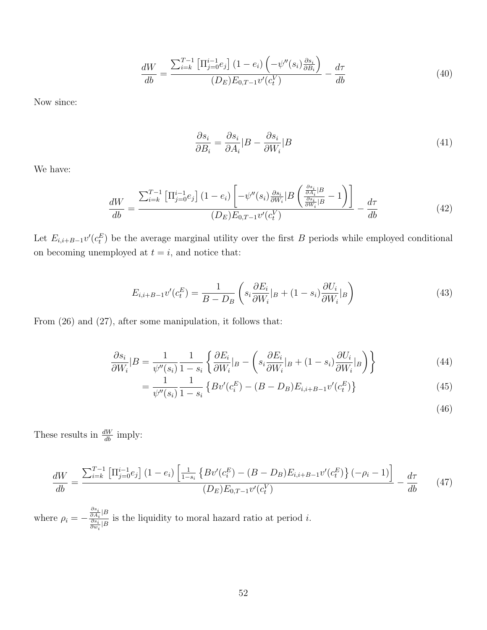$$
\frac{dW}{db} = \frac{\sum_{i=k}^{T-1} \left[ \prod_{j=0}^{i-1} e_j \right] (1 - e_i) \left( -\psi''(s_i) \frac{\partial s_i}{\partial B_i} \right)}{(D_E) E_{0, T-1} v'(c_t^V)} - \frac{d\tau}{db} \tag{40}
$$

Now since:

$$
\frac{\partial s_i}{\partial B_i} = \frac{\partial s_i}{\partial A_i} |B - \frac{\partial s_i}{\partial W_i}|B \tag{41}
$$

We have:

$$
\frac{dW}{db} = \frac{\sum_{i=k}^{T-1} \left[ \prod_{j=0}^{i-1} e_j \right] (1 - e_i) \left[ -\psi''(s_i) \frac{\partial s_i}{\partial W_i} \middle| B \left( \frac{\frac{\partial s_i}{\partial A_i} \middle| B}{\frac{\partial s_i}{\partial W_i} \middle| B} - 1 \right) \right]}{(D_E) E_{0,T-1} v'(c_t^V)} - \frac{d\tau}{db} \tag{42}
$$

Let  $E_{i,i+B-1}v'(c_i^E)$  be the average marginal utility over the first B periods while employed conditional on becoming unemployed at  $t = i$ , and notice that:

$$
E_{i,i+B-1}v'(c_i^E) = \frac{1}{B-D_B} \left( s_i \frac{\partial E_i}{\partial W_i} |_{B} + (1-s_i) \frac{\partial U_i}{\partial W_i} |_{B} \right)
$$
(43)

From (26) and (27), after some manipulation, it follows that:

$$
\frac{\partial s_i}{\partial W_i} | B = \frac{1}{\psi''(s_i)} \frac{1}{1 - s_i} \left\{ \frac{\partial E_i}{\partial W_i} |_{B} - \left( s_i \frac{\partial E_i}{\partial W_i} |_{B} + (1 - s_i) \frac{\partial U_i}{\partial W_i} |_{B} \right) \right\}
$$
(44)

$$
= \frac{1}{\psi''(s_i)} \frac{1}{1 - s_i} \left\{ Bv'(c_i^E) - (B - D_B)E_{i,i+B-1}v'(c_i^E) \right\}
$$
(45)

(46)

These results in  $\frac{dW}{db}$  imply:

$$
\frac{dW}{db} = \frac{\sum_{i=k}^{T-1} \left[ \prod_{j=0}^{i-1} e_j \right] (1 - e_i) \left[ \frac{1}{1 - s_i} \left\{ Bv'(c_i^E) - (B - D_B) E_{i,i+B-1} v'(c_i^E) \right\} (-\rho_i - 1) \right]}{(D_E) E_{0,T-1} v'(c_i^V)} - \frac{d\tau}{db}
$$
(47)

where  $\rho_i = \frac{\partial s_i}{\partial A_i}$ |B  $\frac{\partial A_i}{\partial s_i} \frac{\partial S_i}{\partial w_i}$  is the liquidity to moral hazard ratio at period *i*.